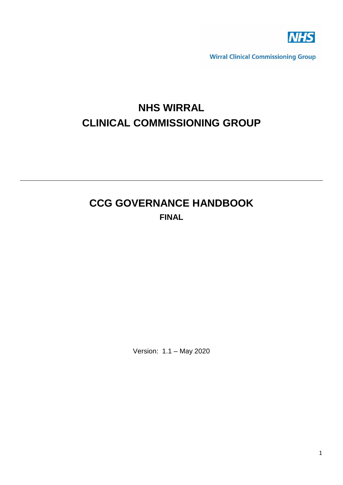

**Wirral Clinical Commissioning Group** 

# **NHS WIRRAL CLINICAL COMMISSIONING GROUP**

# **CCG GOVERNANCE HANDBOOK FINAL**

Version: 1.1 – May 2020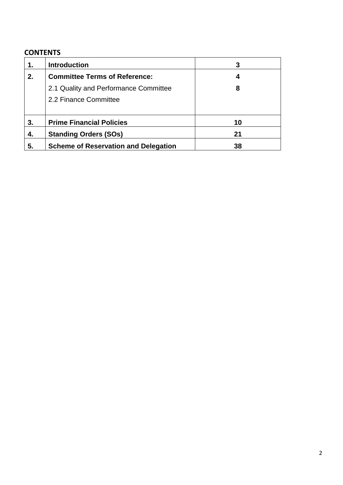# **CONTENTS**

|    | <b>Introduction</b>                         | 3  |
|----|---------------------------------------------|----|
| 2. | <b>Committee Terms of Reference:</b>        | 4  |
|    | 2.1 Quality and Performance Committee       | 8  |
|    | 2.2 Finance Committee                       |    |
|    |                                             |    |
| 3. | <b>Prime Financial Policies</b>             | 10 |
| 4. | <b>Standing Orders (SOs)</b>                | 21 |
| 5. | <b>Scheme of Reservation and Delegation</b> | 38 |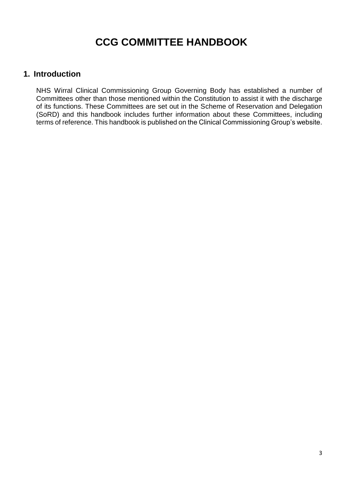# **CCG COMMITTEE HANDBOOK**

# **1. Introduction**

NHS Wirral Clinical Commissioning Group Governing Body has established a number of Committees other than those mentioned within the Constitution to assist it with the discharge of its functions. These Committees are set out in the Scheme of Reservation and Delegation (SoRD) and this handbook includes further information about these Committees, including terms of reference. This handbook is published on the Clinical Commissioning Group's website.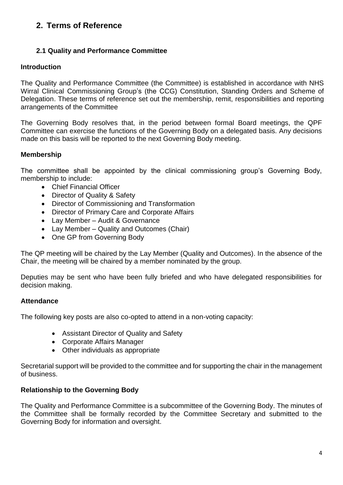# **2. Terms of Reference**

### **2.1 Quality and Performance Committee**

#### **Introduction**

The Quality and Performance Committee (the Committee) is established in accordance with NHS Wirral Clinical Commissioning Group's (the CCG) Constitution, Standing Orders and Scheme of Delegation. These terms of reference set out the membership, remit, responsibilities and reporting arrangements of the Committee

The Governing Body resolves that, in the period between formal Board meetings, the QPF Committee can exercise the functions of the Governing Body on a delegated basis. Any decisions made on this basis will be reported to the next Governing Body meeting.

#### **Membership**

The committee shall be appointed by the clinical commissioning group's Governing Body, membership to include:

- Chief Financial Officer
- Director of Quality & Safety
- Director of Commissioning and Transformation
- Director of Primary Care and Corporate Affairs
- Lay Member Audit & Governance
- Lay Member Quality and Outcomes (Chair)
- One GP from Governing Body

The QP meeting will be chaired by the Lay Member (Quality and Outcomes). In the absence of the Chair, the meeting will be chaired by a member nominated by the group.

Deputies may be sent who have been fully briefed and who have delegated responsibilities for decision making.

#### **Attendance**

The following key posts are also co-opted to attend in a non-voting capacity:

- Assistant Director of Quality and Safety
- Corporate Affairs Manager
- Other individuals as appropriate

Secretarial support will be provided to the committee and for supporting the chair in the management of business.

#### **Relationship to the Governing Body**

The Quality and Performance Committee is a subcommittee of the Governing Body. The minutes of the Committee shall be formally recorded by the Committee Secretary and submitted to the Governing Body for information and oversight.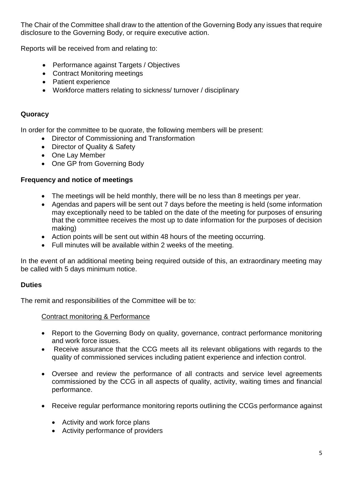The Chair of the Committee shall draw to the attention of the Governing Body any issues that require disclosure to the Governing Body, or require executive action.

Reports will be received from and relating to:

- Performance against Targets / Objectives
- Contract Monitoring meetings
- Patient experience
- Workforce matters relating to sickness/ turnover / disciplinary

### **Quoracy**

In order for the committee to be quorate, the following members will be present:

- Director of Commissioning and Transformation
- Director of Quality & Safety
- One Lay Member
- One GP from Governing Body

# **Frequency and notice of meetings**

- The meetings will be held monthly, there will be no less than 8 meetings per year.
- Agendas and papers will be sent out 7 days before the meeting is held (some information may exceptionally need to be tabled on the date of the meeting for purposes of ensuring that the committee receives the most up to date information for the purposes of decision making)
- Action points will be sent out within 48 hours of the meeting occurring.
- Full minutes will be available within 2 weeks of the meeting.

In the event of an additional meeting being required outside of this, an extraordinary meeting may be called with 5 days minimum notice.

#### **Duties**

The remit and responsibilities of the Committee will be to:

#### Contract monitoring & Performance

- Report to the Governing Body on quality, governance, contract performance monitoring and work force issues.
- Receive assurance that the CCG meets all its relevant obligations with regards to the quality of commissioned services including patient experience and infection control.
- Oversee and review the performance of all contracts and service level agreements commissioned by the CCG in all aspects of quality, activity, waiting times and financial performance.
- Receive regular performance monitoring reports outlining the CCGs performance against
	- Activity and work force plans
	- Activity performance of providers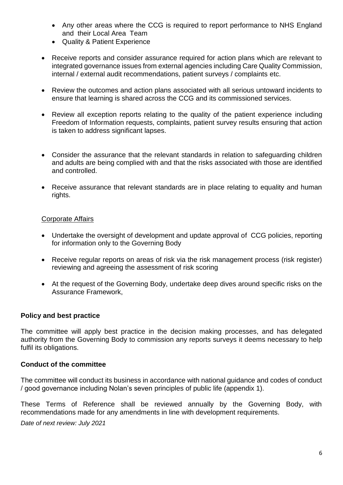- Any other areas where the CCG is required to report performance to NHS England and their Local Area Team
- Quality & Patient Experience
- Receive reports and consider assurance required for action plans which are relevant to integrated governance issues from external agencies including Care Quality Commission, internal / external audit recommendations, patient surveys / complaints etc.
- Review the outcomes and action plans associated with all serious untoward incidents to ensure that learning is shared across the CCG and its commissioned services.
- Review all exception reports relating to the quality of the patient experience including Freedom of Information requests, complaints, patient survey results ensuring that action is taken to address significant lapses.
- Consider the assurance that the relevant standards in relation to safeguarding children and adults are being complied with and that the risks associated with those are identified and controlled.
- Receive assurance that relevant standards are in place relating to equality and human rights.

#### Corporate Affairs

- Undertake the oversight of development and update approval of CCG policies, reporting for information only to the Governing Body
- Receive regular reports on areas of risk via the risk management process (risk register) reviewing and agreeing the assessment of risk scoring
- At the request of the Governing Body, undertake deep dives around specific risks on the Assurance Framework,

#### **Policy and best practice**

The committee will apply best practice in the decision making processes, and has delegated authority from the Governing Body to commission any reports surveys it deems necessary to help fulfil its obligations.

#### **Conduct of the committee**

The committee will conduct its business in accordance with national guidance and codes of conduct / good governance including Nolan's seven principles of public life (appendix 1).

These Terms of Reference shall be reviewed annually by the Governing Body, with recommendations made for any amendments in line with development requirements.

*Date of next review: July 2021*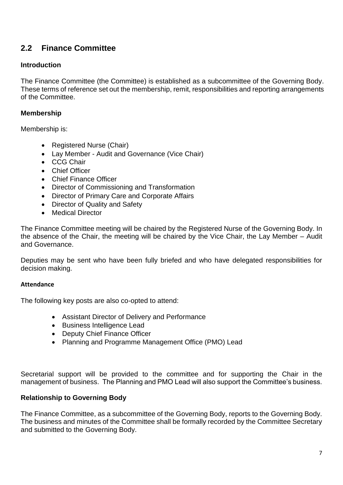# **2.2 Finance Committee**

# **Introduction**

The Finance Committee (the Committee) is established as a subcommittee of the Governing Body. These terms of reference set out the membership, remit, responsibilities and reporting arrangements of the Committee.

### **Membership**

Membership is:

- Registered Nurse (Chair)
- Lay Member Audit and Governance (Vice Chair)
- CCG Chair
- Chief Officer
- Chief Finance Officer
- Director of Commissioning and Transformation
- Director of Primary Care and Corporate Affairs
- Director of Quality and Safety
- Medical Director

The Finance Committee meeting will be chaired by the Registered Nurse of the Governing Body. In the absence of the Chair, the meeting will be chaired by the Vice Chair, the Lay Member – Audit and Governance.

Deputies may be sent who have been fully briefed and who have delegated responsibilities for decision making.

#### **Attendance**

The following key posts are also co-opted to attend:

- Assistant Director of Delivery and Performance
- Business Intelligence Lead
- Deputy Chief Finance Officer
- Planning and Programme Management Office (PMO) Lead

Secretarial support will be provided to the committee and for supporting the Chair in the management of business. The Planning and PMO Lead will also support the Committee's business.

#### **Relationship to Governing Body**

The Finance Committee, as a subcommittee of the Governing Body, reports to the Governing Body. The business and minutes of the Committee shall be formally recorded by the Committee Secretary and submitted to the Governing Body.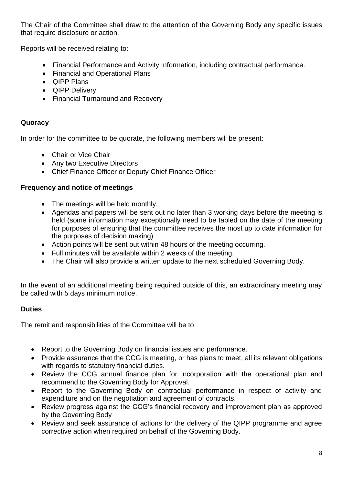The Chair of the Committee shall draw to the attention of the Governing Body any specific issues that require disclosure or action.

Reports will be received relating to:

- Financial Performance and Activity Information, including contractual performance.
- Financial and Operational Plans
- QIPP Plans
- QIPP Delivery
- Financial Turnaround and Recovery

#### **Quoracy**

In order for the committee to be quorate, the following members will be present:

- Chair or Vice Chair
- Any two Executive Directors
- Chief Finance Officer or Deputy Chief Finance Officer

#### **Frequency and notice of meetings**

- The meetings will be held monthly.
- Agendas and papers will be sent out no later than 3 working days before the meeting is held (some information may exceptionally need to be tabled on the date of the meeting for purposes of ensuring that the committee receives the most up to date information for the purposes of decision making)
- Action points will be sent out within 48 hours of the meeting occurring.
- Full minutes will be available within 2 weeks of the meeting.
- The Chair will also provide a written update to the next scheduled Governing Body.

In the event of an additional meeting being required outside of this, an extraordinary meeting may be called with 5 days minimum notice.

#### **Duties**

The remit and responsibilities of the Committee will be to:

- Report to the Governing Body on financial issues and performance.
- Provide assurance that the CCG is meeting, or has plans to meet, all its relevant obligations with regards to statutory financial duties.
- Review the CCG annual finance plan for incorporation with the operational plan and recommend to the Governing Body for Approval.
- Report to the Governing Body on contractual performance in respect of activity and expenditure and on the negotiation and agreement of contracts.
- Review progress against the CCG's financial recovery and improvement plan as approved by the Governing Body
- Review and seek assurance of actions for the delivery of the QIPP programme and agree corrective action when required on behalf of the Governing Body.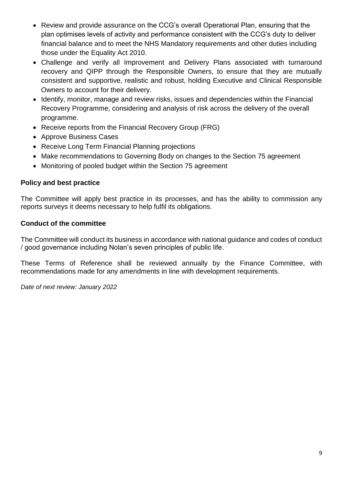- Review and provide assurance on the CCG's overall Operational Plan, ensuring that the plan optimises levels of activity and performance consistent with the CCG's duty to deliver financial balance and to meet the NHS Mandatory requirements and other duties including those under the Equality Act 2010.
- Challenge and verify all Improvement and Delivery Plans associated with turnaround recovery and QIPP through the Responsible Owners, to ensure that they are mutually consistent and supportive, realistic and robust, holding Executive and Clinical Responsible Owners to account for their delivery.
- Identify, monitor, manage and review risks, issues and dependencies within the Financial Recovery Programme, considering and analysis of risk across the delivery of the overall programme.
- Receive reports from the Financial Recovery Group (FRG)
- Approve Business Cases
- Receive Long Term Financial Planning projections
- Make recommendations to Governing Body on changes to the Section 75 agreement
- Monitoring of pooled budget within the Section 75 agreement

#### **Policy and best practice**

The Committee will apply best practice in its processes, and has the ability to commission any reports surveys it deems necessary to help fulfil its obligations.

#### **Conduct of the committee**

The Committee will conduct its business in accordance with national guidance and codes of conduct / good governance including Nolan's seven principles of public life.

These Terms of Reference shall be reviewed annually by the Finance Committee, with recommendations made for any amendments in line with development requirements.

*Date of next review: January 2022*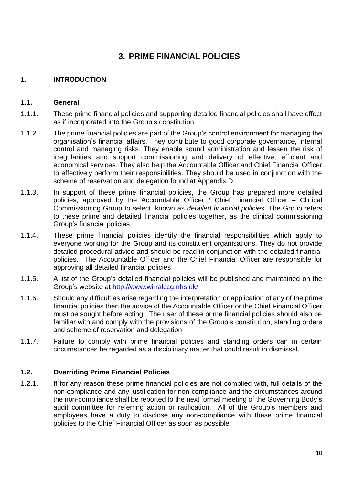# **3. PRIME FINANCIAL POLICIES**

### **1. INTRODUCTION**

#### **1.1. General**

- 1.1.1. These prime financial policies and supporting detailed financial policies shall have effect as if incorporated into the Group's constitution.
- 1.1.2. The prime financial policies are part of the Group's control environment for managing the organisation's financial affairs. They contribute to good corporate governance, internal control and managing risks. They enable sound administration and lessen the risk of irregularities and support commissioning and delivery of effective, efficient and economical services. They also help the Accountable Officer and Chief Financial Officer to effectively perform their responsibilities. They should be used in conjunction with the scheme of reservation and delegation found at Appendix D.
- 1.1.3. In support of these prime financial policies, the Group has prepared more detailed policies, approved by the Accountable Officer / Chief Financial Officer – Clinical Commissioning Group to select, known as *detailed financial policies*. The Group refers to these prime and detailed financial policies together, as the clinical commissioning Group's financial policies.
- 1.1.4. These prime financial policies identify the financial responsibilities which apply to everyone working for the Group and its constituent organisations. They do not provide detailed procedural advice and should be read in conjunction with the detailed financial policies. The Accountable Officer and the Chief Financial Officer are responsible for approving all detailed financial policies.
- 1.1.5. A list of the Group's detailed financial policies will be published and maintained on the Group's website at<http://www.wirralccg.nhs.uk/>
- 1.1.6. Should any difficulties arise regarding the interpretation or application of any of the prime financial policies then the advice of the Accountable Officer or the Chief Financial Officer must be sought before acting. The user of these prime financial policies should also be familiar with and comply with the provisions of the Group's constitution, standing orders and scheme of reservation and delegation.
- 1.1.7. Failure to comply with prime financial policies and standing orders can in certain circumstances be regarded as a disciplinary matter that could result in dismissal.

#### **1.2. Overriding Prime Financial Policies**

1.2.1. If for any reason these prime financial policies are not complied with, full details of the non-compliance and any justification for non-compliance and the circumstances around the non-compliance shall be reported to the next formal meeting of the Governing Body's audit committee for referring action or ratification. All of the Group's members and employees have a duty to disclose any non-compliance with these prime financial policies to the Chief Financial Officer as soon as possible.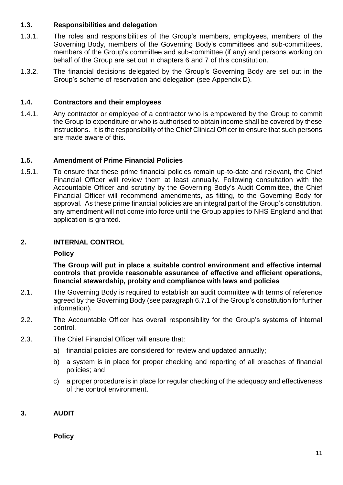#### **1.3. Responsibilities and delegation**

- 1.3.1. The roles and responsibilities of the Group's members, employees, members of the Governing Body, members of the Governing Body's committees and sub-committees, members of the Group's committee and sub-committee (if any) and persons working on behalf of the Group are set out in chapters 6 and 7 of this constitution.
- 1.3.2. The financial decisions delegated by the Group's Governing Body are set out in the Group's scheme of reservation and delegation (see Appendix D).

#### **1.4. Contractors and their employees**

1.4.1. Any contractor or employee of a contractor who is empowered by the Group to commit the Group to expenditure or who is authorised to obtain income shall be covered by these instructions. It is the responsibility of the Chief Clinical Officer to ensure that such persons are made aware of this.

#### **1.5. Amendment of Prime Financial Policies**

1.5.1. To ensure that these prime financial policies remain up-to-date and relevant, the Chief Financial Officer will review them at least annually. Following consultation with the Accountable Officer and scrutiny by the Governing Body's Audit Committee, the Chief Financial Officer will recommend amendments, as fitting, to the Governing Body for approval. As these prime financial policies are an integral part of the Group's constitution, any amendment will not come into force until the Group applies to NHS England and that application is granted.

# **2. INTERNAL CONTROL**

# **Policy**

**The Group will put in place a suitable control environment and effective internal controls that provide reasonable assurance of effective and efficient operations, financial stewardship, probity and compliance with laws and policies**

- 2.1. The Governing Body is required to establish an audit committee with terms of reference agreed by the Governing Body (see paragraph 6.7.1 of the Group's constitution for further information).
- 2.2. The Accountable Officer has overall responsibility for the Group's systems of internal control.
- 2.3. The Chief Financial Officer will ensure that:
	- a) financial policies are considered for review and updated annually;
	- b) a system is in place for proper checking and reporting of all breaches of financial policies; and
	- c) a proper procedure is in place for regular checking of the adequacy and effectiveness of the control environment.

#### **3. AUDIT**

**Policy**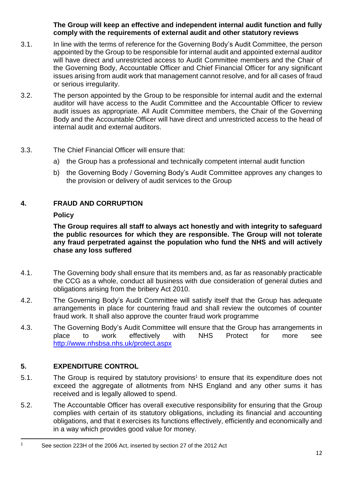#### **The Group will keep an effective and independent internal audit function and fully comply with the requirements of external audit and other statutory reviews**

- 3.1. In line with the terms of reference for the Governing Body's Audit Committee, the person appointed by the Group to be responsible for internal audit and appointed external auditor will have direct and unrestricted access to Audit Committee members and the Chair of the Governing Body, Accountable Officer and Chief Financial Officer for any significant issues arising from audit work that management cannot resolve, and for all cases of fraud or serious irregularity.
- 3.2. The person appointed by the Group to be responsible for internal audit and the external auditor will have access to the Audit Committee and the Accountable Officer to review audit issues as appropriate. All Audit Committee members, the Chair of the Governing Body and the Accountable Officer will have direct and unrestricted access to the head of internal audit and external auditors.

#### 3.3. The Chief Financial Officer will ensure that:

- a) the Group has a professional and technically competent internal audit function
- b) the Governing Body / Governing Body's Audit Committee approves any changes to the provision or delivery of audit services to the Group

# **4. FRAUD AND CORRUPTION**

#### **Policy**

**The Group requires all staff to always act honestly and with integrity to safeguard the public resources for which they are responsible. The Group will not tolerate any fraud perpetrated against the population who fund the NHS and will actively chase any loss suffered**

- 4.1. The Governing body shall ensure that its members and, as far as reasonably practicable the CCG as a whole, conduct all business with due consideration of general duties and obligations arising from the bribery Act 2010.
- 4.2. The Governing Body's Audit Committee will satisfy itself that the Group has adequate arrangements in place for countering fraud and shall review the outcomes of counter fraud work. It shall also approve the counter fraud work programme
- 4.3. The Governing Body's Audit Committee will ensure that the Group has arrangements in place to work effectively with NHS Protect for more see <http://www.nhsbsa.nhs.uk/protect.aspx>

# **5. EXPENDITURE CONTROL**

**.** 

- 5.1. The Group is required by statutory provisions<sup>1</sup> to ensure that its expenditure does not exceed the aggregate of allotments from NHS England and any other sums it has received and is legally allowed to spend.
- 5.2. The Accountable Officer has overall executive responsibility for ensuring that the Group complies with certain of its statutory obligations, including its financial and accounting obligations, and that it exercises its functions effectively, efficiently and economically and in a way which provides good value for money.

<sup>&</sup>lt;sup>1</sup> See section 223H of the 2006 Act, inserted by section 27 of the 2012 Act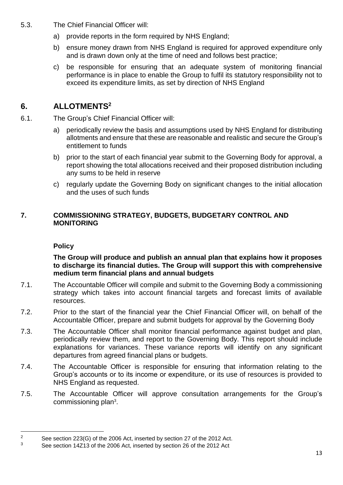- 5.3. The Chief Financial Officer will:
	- a) provide reports in the form required by NHS England:
	- b) ensure money drawn from NHS England is required for approved expenditure only and is drawn down only at the time of need and follows best practice;
	- c) be responsible for ensuring that an adequate system of monitoring financial performance is in place to enable the Group to fulfil its statutory responsibility not to exceed its expenditure limits, as set by direction of NHS England

# **6. ALLOTMENTS<sup>2</sup>**

- 6.1. The Group's Chief Financial Officer will:
	- a) periodically review the basis and assumptions used by NHS England for distributing allotments and ensure that these are reasonable and realistic and secure the Group's entitlement to funds
	- b) prior to the start of each financial year submit to the Governing Body for approval, a report showing the total allocations received and their proposed distribution including any sums to be held in reserve
	- c) regularly update the Governing Body on significant changes to the initial allocation and the uses of such funds

#### **7. COMMISSIONING STRATEGY, BUDGETS, BUDGETARY CONTROL AND MONITORING**

### **Policy**

**.** 

#### **The Group will produce and publish an annual plan that explains how it proposes to discharge its financial duties. The Group will support this with comprehensive medium term financial plans and annual budgets**

- 7.1. The Accountable Officer will compile and submit to the Governing Body a commissioning strategy which takes into account financial targets and forecast limits of available resources.
- 7.2. Prior to the start of the financial year the Chief Financial Officer will, on behalf of the Accountable Officer, prepare and submit budgets for approval by the Governing Body
- 7.3. The Accountable Officer shall monitor financial performance against budget and plan, periodically review them, and report to the Governing Body. This report should include explanations for variances. These variance reports will identify on any significant departures from agreed financial plans or budgets.
- 7.4. The Accountable Officer is responsible for ensuring that information relating to the Group's accounts or to its income or expenditure, or its use of resources is provided to NHS England as requested.
- 7.5. The Accountable Officer will approve consultation arrangements for the Group's commissioning plan<sup>3</sup>.

<sup>&</sup>lt;sup>2</sup> See section 223(G) of the 2006 Act, inserted by section 27 of the 2012 Act.<br><sup>3</sup> See section 14712 of the 2006 Act, inserted by section 26 of the 2012 Act.

<sup>3</sup> See section 14Z13 of the 2006 Act, inserted by section 26 of the 2012 Act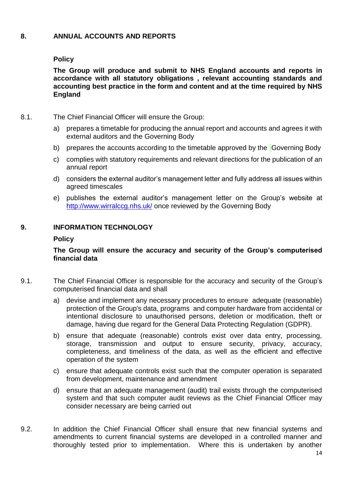# **8. ANNUAL ACCOUNTS AND REPORTS**

#### **Policy**

**The Group will produce and submit to NHS England accounts and reports in accordance with all statutory obligations , relevant accounting standards and accounting best practice in the form and content and at the time required by NHS England**

- 8.1. The Chief Financial Officer will ensure the Group:
	- a) prepares a timetable for producing the annual report and accounts and agrees it with external auditors and the Governing Body
	- b) prepares the accounts according to the timetable approved by the Governing Body
	- c) complies with statutory requirements and relevant directions for the publication of an annual report
	- d) considers the external auditor's management letter and fully address all issues within agreed timescales
	- e) publishes the external auditor's management letter on the Group's website at <http://www.wirralccg.nhs.uk/> once reviewed by the Governing Body

# **9. INFORMATION TECHNOLOGY**

#### **Policy**

#### **The Group will ensure the accuracy and security of the Group's computerised financial data**

- 9.1. The Chief Financial Officer is responsible for the accuracy and security of the Group's computerised financial data and shall
	- a) devise and implement any necessary procedures to ensure adequate (reasonable) protection of the Group's data, programs and computer hardware from accidental or intentional disclosure to unauthorised persons, deletion or modification, theft or damage, having due regard for the General Data Protecting Regulation (GDPR).
	- b) ensure that adequate (reasonable) controls exist over data entry, processing, storage, transmission and output to ensure security, privacy, accuracy, completeness, and timeliness of the data, as well as the efficient and effective operation of the system
	- c) ensure that adequate controls exist such that the computer operation is separated from development, maintenance and amendment
	- d) ensure that an adequate management (audit) trail exists through the computerised system and that such computer audit reviews as the Chief Financial Officer may consider necessary are being carried out
- 9.2. In addition the Chief Financial Officer shall ensure that new financial systems and amendments to current financial systems are developed in a controlled manner and thoroughly tested prior to implementation. Where this is undertaken by another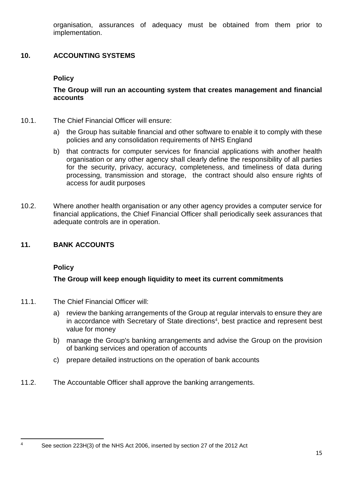organisation, assurances of adequacy must be obtained from them prior to implementation.

# **10. ACCOUNTING SYSTEMS**

#### **Policy**

**The Group will run an accounting system that creates management and financial accounts**

- 10.1. The Chief Financial Officer will ensure:
	- a) the Group has suitable financial and other software to enable it to comply with these policies and any consolidation requirements of NHS England
	- b) that contracts for computer services for financial applications with another health organisation or any other agency shall clearly define the responsibility of all parties for the security, privacy, accuracy, completeness, and timeliness of data during processing, transmission and storage, the contract should also ensure rights of access for audit purposes
- 10.2. Where another health organisation or any other agency provides a computer service for financial applications, the Chief Financial Officer shall periodically seek assurances that adequate controls are in operation.

#### **11. BANK ACCOUNTS**

#### **Policy**

**.** 

#### **The Group will keep enough liquidity to meet its current commitments**

- 11.1. The Chief Financial Officer will:
	- a) review the banking arrangements of the Group at regular intervals to ensure they are in accordance with Secretary of State directions<sup>4</sup>, best practice and represent best value for money
	- b) manage the Group's banking arrangements and advise the Group on the provision of banking services and operation of accounts
	- c) prepare detailed instructions on the operation of bank accounts
- 11.2. The Accountable Officer shall approve the banking arrangements.

<sup>&</sup>lt;sup>4</sup> See section 223H(3) of the NHS Act 2006, inserted by section 27 of the 2012 Act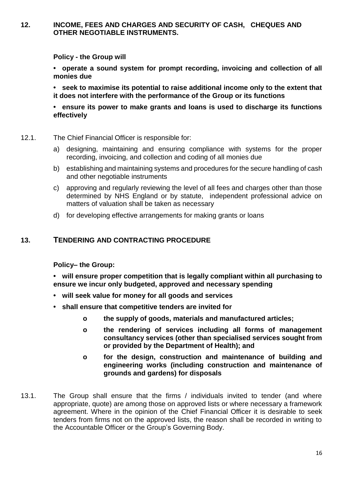#### **12. INCOME, FEES AND CHARGES AND SECURITY OF CASH, CHEQUES AND OTHER NEGOTIABLE INSTRUMENTS.**

#### **Policy - the Group will**

**• operate a sound system for prompt recording, invoicing and collection of all monies due**

**• seek to maximise its potential to raise additional income only to the extent that it does not interfere with the performance of the Group or its functions** 

**• ensure its power to make grants and loans is used to discharge its functions effectively**

#### 12.1. The Chief Financial Officer is responsible for:

- a) designing, maintaining and ensuring compliance with systems for the proper recording, invoicing, and collection and coding of all monies due
- b) establishing and maintaining systems and procedures for the secure handling of cash and other negotiable instruments
- c) approving and regularly reviewing the level of all fees and charges other than those determined by NHS England or by statute, independent professional advice on matters of valuation shall be taken as necessary
- d) for developing effective arrangements for making grants or loans

# **13. TENDERING AND CONTRACTING PROCEDURE**

**Policy– the Group:**

- **• will ensure proper competition that is legally compliant within all purchasing to ensure we incur only budgeted, approved and necessary spending**
- **• will seek value for money for all goods and services**
- **• shall ensure that competitive tenders are invited for**
	- **o the supply of goods, materials and manufactured articles;**
	- **o the rendering of services including all forms of management consultancy services (other than specialised services sought from or provided by the Department of Health); and**
	- **o for the design, construction and maintenance of building and engineering works (including construction and maintenance of grounds and gardens) for disposals**
- 13.1. The Group shall ensure that the firms / individuals invited to tender (and where appropriate, quote) are among those on approved lists or where necessary a framework agreement. Where in the opinion of the Chief Financial Officer it is desirable to seek tenders from firms not on the approved lists, the reason shall be recorded in writing to the Accountable Officer or the Group's Governing Body.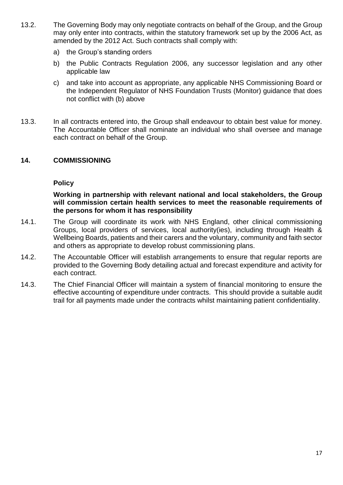- 13.2. The Governing Body may only negotiate contracts on behalf of the Group, and the Group may only enter into contracts, within the statutory framework set up by the 2006 Act, as amended by the 2012 Act. Such contracts shall comply with:
	- a) the Group's standing orders
	- b) the Public Contracts Regulation 2006, any successor legislation and any other applicable law
	- c) and take into account as appropriate, any applicable NHS Commissioning Board or the Independent Regulator of NHS Foundation Trusts (Monitor) guidance that does not conflict with (b) above
- 13.3. In all contracts entered into, the Group shall endeavour to obtain best value for money. The Accountable Officer shall nominate an individual who shall oversee and manage each contract on behalf of the Group.

#### **14. COMMISSIONING**

#### **Policy**

**Working in partnership with relevant national and local stakeholders, the Group will commission certain health services to meet the reasonable requirements of the persons for whom it has responsibility**

- 14.1. The Group will coordinate its work with NHS England, other clinical commissioning Groups, local providers of services, local authority(ies), including through Health & Wellbeing Boards, patients and their carers and the voluntary, community and faith sector and others as appropriate to develop robust commissioning plans.
- 14.2. The Accountable Officer will establish arrangements to ensure that regular reports are provided to the Governing Body detailing actual and forecast expenditure and activity for each contract.
- 14.3. The Chief Financial Officer will maintain a system of financial monitoring to ensure the effective accounting of expenditure under contracts. This should provide a suitable audit trail for all payments made under the contracts whilst maintaining patient confidentiality.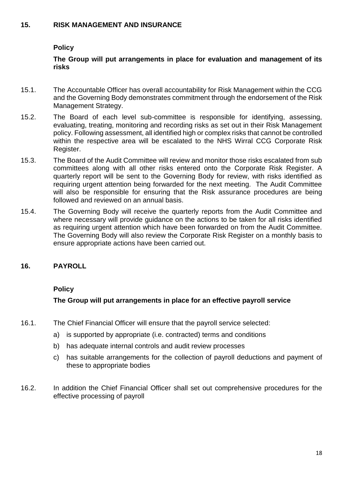#### **15. RISK MANAGEMENT AND INSURANCE**

# **Policy**

**The Group will put arrangements in place for evaluation and management of its risks**

- 15.1. The Accountable Officer has overall accountability for Risk Management within the CCG and the Governing Body demonstrates commitment through the endorsement of the Risk Management Strategy.
- 15.2. The Board of each level sub-committee is responsible for identifying, assessing, evaluating, treating, monitoring and recording risks as set out in their Risk Management policy. Following assessment, all identified high or complex risks that cannot be controlled within the respective area will be escalated to the NHS Wirral CCG Corporate Risk Register.
- 15.3. The Board of the Audit Committee will review and monitor those risks escalated from sub committees along with all other risks entered onto the Corporate Risk Register. A quarterly report will be sent to the Governing Body for review, with risks identified as requiring urgent attention being forwarded for the next meeting. The Audit Committee will also be responsible for ensuring that the Risk assurance procedures are being followed and reviewed on an annual basis.
- 15.4. The Governing Body will receive the quarterly reports from the Audit Committee and where necessary will provide guidance on the actions to be taken for all risks identified as requiring urgent attention which have been forwarded on from the Audit Committee. The Governing Body will also review the Corporate Risk Register on a monthly basis to ensure appropriate actions have been carried out.

# **16. PAYROLL**

#### **Policy**

# **The Group will put arrangements in place for an effective payroll service**

- 16.1. The Chief Financial Officer will ensure that the payroll service selected:
	- a) is supported by appropriate (i.e. contracted) terms and conditions
	- b) has adequate internal controls and audit review processes
	- c) has suitable arrangements for the collection of payroll deductions and payment of these to appropriate bodies
- 16.2. In addition the Chief Financial Officer shall set out comprehensive procedures for the effective processing of payroll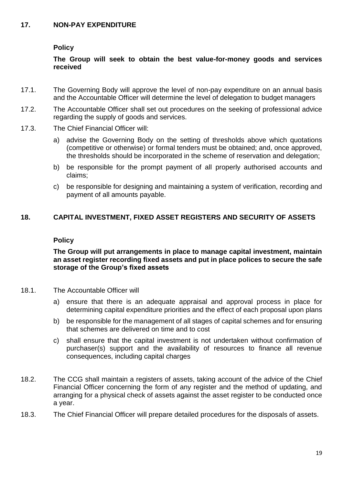#### **17. NON-PAY EXPENDITURE**

#### **Policy**

#### **The Group will seek to obtain the best value-for-money goods and services received**

- 17.1. The Governing Body will approve the level of non-pay expenditure on an annual basis and the Accountable Officer will determine the level of delegation to budget managers
- 17.2. The Accountable Officer shall set out procedures on the seeking of professional advice regarding the supply of goods and services.
- 17.3. The Chief Financial Officer will:
	- a) advise the Governing Body on the setting of thresholds above which quotations (competitive or otherwise) or formal tenders must be obtained; and, once approved, the thresholds should be incorporated in the scheme of reservation and delegation;
	- b) be responsible for the prompt payment of all properly authorised accounts and claims;
	- c) be responsible for designing and maintaining a system of verification, recording and payment of all amounts payable.

#### **18. CAPITAL INVESTMENT, FIXED ASSET REGISTERS AND SECURITY OF ASSETS**

#### **Policy**

#### **The Group will put arrangements in place to manage capital investment, maintain an asset register recording fixed assets and put in place polices to secure the safe storage of the Group's fixed assets**

- 18.1. The Accountable Officer will
	- a) ensure that there is an adequate appraisal and approval process in place for determining capital expenditure priorities and the effect of each proposal upon plans
	- b) be responsible for the management of all stages of capital schemes and for ensuring that schemes are delivered on time and to cost
	- c) shall ensure that the capital investment is not undertaken without confirmation of purchaser(s) support and the availability of resources to finance all revenue consequences, including capital charges
- 18.2. The CCG shall maintain a registers of assets, taking account of the advice of the Chief Financial Officer concerning the form of any register and the method of updating, and arranging for a physical check of assets against the asset register to be conducted once a year.
- 18.3. The Chief Financial Officer will prepare detailed procedures for the disposals of assets.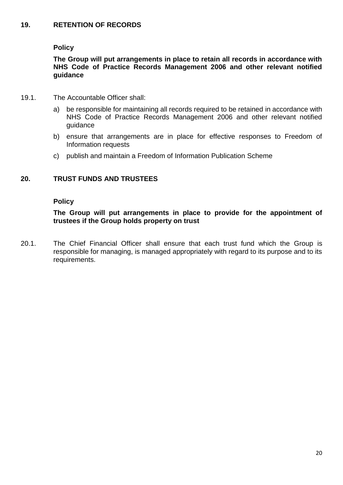#### **19. RETENTION OF RECORDS**

#### **Policy**

**The Group will put arrangements in place to retain all records in accordance with NHS Code of Practice Records Management 2006 and other relevant notified guidance**

- 19.1. The Accountable Officer shall:
	- a) be responsible for maintaining all records required to be retained in accordance with NHS Code of Practice Records Management 2006 and other relevant notified guidance
	- b) ensure that arrangements are in place for effective responses to Freedom of Information requests
	- c) publish and maintain a Freedom of Information Publication Scheme

# **20. TRUST FUNDS AND TRUSTEES**

#### **Policy**

**The Group will put arrangements in place to provide for the appointment of trustees if the Group holds property on trust**

20.1. The Chief Financial Officer shall ensure that each trust fund which the Group is responsible for managing, is managed appropriately with regard to its purpose and to its requirements.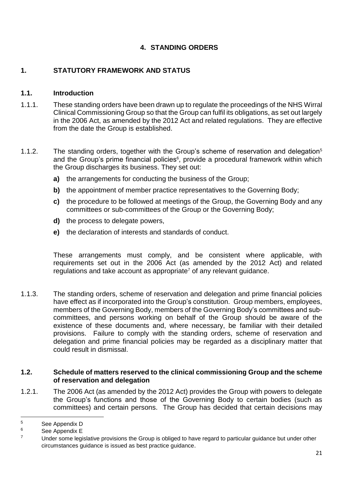# **4. STANDING ORDERS**

# **1. STATUTORY FRAMEWORK AND STATUS**

### **1.1. Introduction**

- 1.1.1. These standing orders have been drawn up to regulate the proceedings of the NHS Wirral Clinical Commissioning Group so that the Group can fulfil its obligations, as set out largely in the 2006 Act, as amended by the 2012 Act and related regulations. They are effective from the date the Group is established.
- 1.1.2. The standing orders, together with the Group's scheme of reservation and delegation<sup>5</sup> and the Group's prime financial policies<sup>6</sup>, provide a procedural framework within which the Group discharges its business. They set out:
	- **a)** the arrangements for conducting the business of the Group;
	- **b)** the appointment of member practice representatives to the Governing Body;
	- **c)** the procedure to be followed at meetings of the Group, the Governing Body and any committees or sub-committees of the Group or the Governing Body;
	- **d)** the process to delegate powers,
	- **e)** the declaration of interests and standards of conduct.

These arrangements must comply, and be consistent where applicable, with requirements set out in the 2006 Act (as amended by the 2012 Act) and related regulations and take account as appropriate<sup>7</sup> of any relevant guidance.

1.1.3. The standing orders, scheme of reservation and delegation and prime financial policies have effect as if incorporated into the Group's constitution. Group members, employees, members of the Governing Body, members of the Governing Body's committees and subcommittees, and persons working on behalf of the Group should be aware of the existence of these documents and, where necessary, be familiar with their detailed provisions. Failure to comply with the standing orders, scheme of reservation and delegation and prime financial policies may be regarded as a disciplinary matter that could result in dismissal.

#### **1.2. Schedule of matters reserved to the clinical commissioning Group and the scheme of reservation and delegation**

1.2.1. The 2006 Act (as amended by the 2012 Act) provides the Group with powers to delegate the Group's functions and those of the Governing Body to certain bodies (such as committees) and certain persons. The Group has decided that certain decisions may

 $\overline{a}$ <sup>5</sup> See Appendix D

 $6$  See Appendix E

Under some legislative provisions the Group is obliged to have regard to particular guidance but under other circumstances guidance is issued as best practice guidance.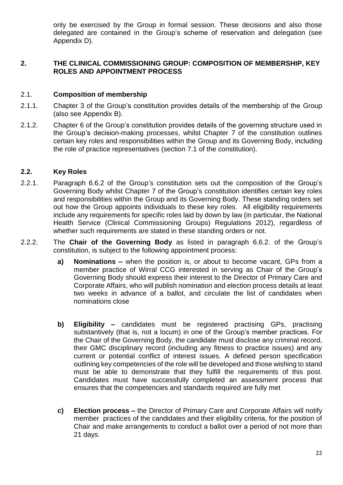only be exercised by the Group in formal session. These decisions and also those delegated are contained in the Group's scheme of reservation and delegation (see Appendix D).

#### **2. THE CLINICAL COMMISSIONING GROUP: COMPOSITION OF MEMBERSHIP, KEY ROLES AND APPOINTMENT PROCESS**

#### 2.1. **Composition of membership**

- 2.1.1. Chapter 3 of the Group's constitution provides details of the membership of the Group (also see Appendix B).
- 2.1.2. Chapter 6 of the Group's constitution provides details of the governing structure used in the Group's decision-making processes, whilst Chapter 7 of the constitution outlines certain key roles and responsibilities within the Group and its Governing Body, including the role of practice representatives (section 7.1 of the constitution).

#### **2.2. Key Roles**

- 2.2.1. Paragraph 6.6.2 of the Group's constitution sets out the composition of the Group's Governing Body whilst Chapter 7 of the Group's constitution identifies certain key roles and responsibilities within the Group and its Governing Body. These standing orders set out how the Group appoints individuals to these key roles. All eligibility requirements include any requirements for specific roles laid by down by law (in particular, the National Health Service (Clinical Commissioning Groups) Regulations 2012), regardless of whether such requirements are stated in these standing orders or not.
- 2.2.2. The **Chair of the Governing Body** as listed in paragraph 6.6.2. of the Group's constitution, is subject to the following appointment process:
	- **a) Nominations –** when the position is, or about to become vacant, GPs from a member practice of Wirral CCG interested in serving as Chair of the Group's Governing Body should express their interest to the Director of Primary Care and Corporate Affairs, who will publish nomination and election process details at least two weeks in advance of a ballot, and circulate the list of candidates when nominations close
	- **b) Eligibility –** candidates must be registered practising GPs, practising substantively (that is, not a locum) in one of the Group's member practices. For the Chair of the Governing Body, the candidate must disclose any criminal record, their GMC disciplinary record (including any fitness to practice issues) and any current or potential conflict of interest issues. A defined person specification outlining key competencies of the role will be developed and those wishing to stand must be able to demonstrate that they fulfill the requirements of this post. Candidates must have successfully completed an assessment process that ensures that the competencies and standards required are fully met
	- **c) Election process –** the Director of Primary Care and Corporate Affairs will notify member practices of the candidates and their eligibility criteria, for the position of Chair and make arrangements to conduct a ballot over a period of not more than 21 days.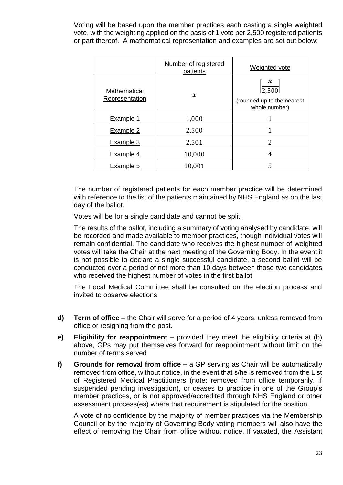Voting will be based upon the member practices each casting a single weighted vote, with the weighting applied on the basis of 1 vote per 2,500 registered patients or part thereof. A mathematical representation and examples are set out below:

|                                | Number of registered<br>patients | Weighted vote                                               |
|--------------------------------|----------------------------------|-------------------------------------------------------------|
| Mathematical<br>Representation | $\boldsymbol{\chi}$              | x<br> 2,500 <br>(rounded up to the nearest<br>whole number) |
| Example 1                      | 1,000                            |                                                             |
| Example 2                      | 2,500                            |                                                             |
| Example 3                      | 2,501                            | 2                                                           |
| Example 4                      | 10,000                           | 4                                                           |
| Example 5                      | 10,001                           | 5                                                           |

The number of registered patients for each member practice will be determined with reference to the list of the patients maintained by NHS England as on the last day of the ballot.

Votes will be for a single candidate and cannot be split.

The results of the ballot, including a summary of voting analysed by candidate, will be recorded and made available to member practices, though individual votes will remain confidential. The candidate who receives the highest number of weighted votes will take the Chair at the next meeting of the Governing Body. In the event it is not possible to declare a single successful candidate, a second ballot will be conducted over a period of not more than 10 days between those two candidates who received the highest number of votes in the first ballot.

The Local Medical Committee shall be consulted on the election process and invited to observe elections

- **d) Term of office –** the Chair will serve for a period of 4 years, unless removed from office or resigning from the post**.**
- **e) Eligibility for reappointment –** provided they meet the eligibility criteria at (b) above, GPs may put themselves forward for reappointment without limit on the number of terms served
- **f) Grounds for removal from office –** a GP serving as Chair will be automatically removed from office, without notice, in the event that s/he is removed from the List of Registered Medical Practitioners (note: removed from office temporarily, if suspended pending investigation), or ceases to practice in one of the Group's member practices, or is not approved/accredited through NHS England or other assessment process(es) where that requirement is stipulated for the position.

A vote of no confidence by the majority of member practices via the Membership Council or by the majority of Governing Body voting members will also have the effect of removing the Chair from office without notice. If vacated, the Assistant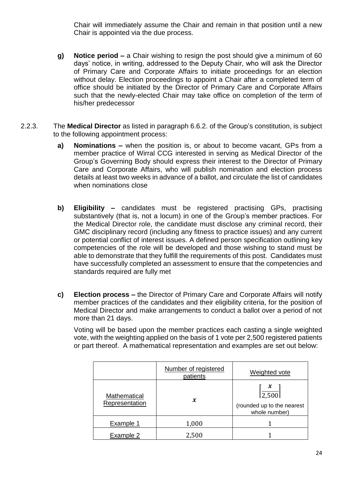Chair will immediately assume the Chair and remain in that position until a new Chair is appointed via the due process.

- **g) Notice period –** a Chair wishing to resign the post should give a minimum of 60 days' notice, in writing, addressed to the Deputy Chair, who will ask the Director of Primary Care and Corporate Affairs to initiate proceedings for an election without delay. Election proceedings to appoint a Chair after a completed term of office should be initiated by the Director of Primary Care and Corporate Affairs such that the newly-elected Chair may take office on completion of the term of his/her predecessor
- 2.2.3. The **Medical Director** as listed in paragraph 6.6.2. of the Group's constitution, is subject to the following appointment process:
	- **a) Nominations –** when the position is, or about to become vacant, GPs from a member practice of Wirral CCG interested in serving as Medical Director of the Group's Governing Body should express their interest to the Director of Primary Care and Corporate Affairs, who will publish nomination and election process details at least two weeks in advance of a ballot, and circulate the list of candidates when nominations close
	- **b) Eligibility –** candidates must be registered practising GPs, practising substantively (that is, not a locum) in one of the Group's member practices. For the Medical Director role, the candidate must disclose any criminal record, their GMC disciplinary record (including any fitness to practice issues) and any current or potential conflict of interest issues. A defined person specification outlining key competencies of the role will be developed and those wishing to stand must be able to demonstrate that they fulfill the requirements of this post. Candidates must have successfully completed an assessment to ensure that the competencies and standards required are fully met
	- **c) Election process –** the Director of Primary Care and Corporate Affairs will notify member practices of the candidates and their eligibility criteria, for the position of Medical Director and make arrangements to conduct a ballot over a period of not more than 21 days.

Voting will be based upon the member practices each casting a single weighted vote, with the weighting applied on the basis of 1 vote per 2,500 registered patients or part thereof. A mathematical representation and examples are set out below:

|                                                              | Number of registered<br>patients | Weighted vote                                               |
|--------------------------------------------------------------|----------------------------------|-------------------------------------------------------------|
| Mathematical<br>$\boldsymbol{\mathcal{X}}$<br>Representation |                                  | x<br> 2,500 <br>(rounded up to the nearest<br>whole number) |
| Example 1                                                    | 1,000                            |                                                             |
| Example 2                                                    | 2,500                            |                                                             |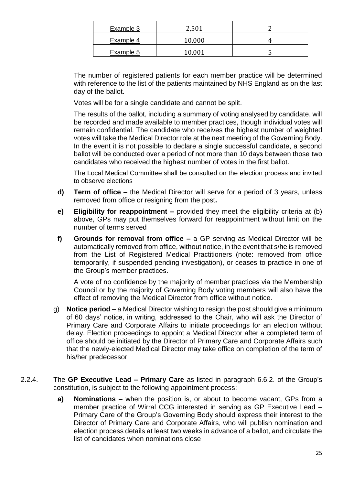| Example 3 | 2,501  |  |
|-----------|--------|--|
| Example 4 | 10,000 |  |
| Example 5 | 10,001 |  |

The number of registered patients for each member practice will be determined with reference to the list of the patients maintained by NHS England as on the last day of the ballot.

Votes will be for a single candidate and cannot be split.

The results of the ballot, including a summary of voting analysed by candidate, will be recorded and made available to member practices, though individual votes will remain confidential. The candidate who receives the highest number of weighted votes will take the Medical Director role at the next meeting of the Governing Body. In the event it is not possible to declare a single successful candidate, a second ballot will be conducted over a period of not more than 10 days between those two candidates who received the highest number of votes in the first ballot.

The Local Medical Committee shall be consulted on the election process and invited to observe elections

- **d) Term of office –** the Medical Director will serve for a period of 3 years, unless removed from office or resigning from the post**.**
- **e) Eligibility for reappointment –** provided they meet the eligibility criteria at (b) above, GPs may put themselves forward for reappointment without limit on the number of terms served
- **f) Grounds for removal from office –** a GP serving as Medical Director will be automatically removed from office, without notice, in the event that s/he is removed from the List of Registered Medical Practitioners (note: removed from office temporarily, if suspended pending investigation), or ceases to practice in one of the Group's member practices.

A vote of no confidence by the majority of member practices via the Membership Council or by the majority of Governing Body voting members will also have the effect of removing the Medical Director from office without notice.

- g) **Notice period –** a Medical Director wishing to resign the post should give a minimum of 60 days' notice, in writing, addressed to the Chair, who will ask the Director of Primary Care and Corporate Affairs to initiate proceedings for an election without delay. Election proceedings to appoint a Medical Director after a completed term of office should be initiated by the Director of Primary Care and Corporate Affairs such that the newly-elected Medical Director may take office on completion of the term of his/her predecessor
- 2.2.4. The **GP Executive Lead – Primary Care** as listed in paragraph 6.6.2. of the Group's constitution, is subject to the following appointment process:
	- **a) Nominations –** when the position is, or about to become vacant, GPs from a member practice of Wirral CCG interested in serving as GP Executive Lead – Primary Care of the Group's Governing Body should express their interest to the Director of Primary Care and Corporate Affairs, who will publish nomination and election process details at least two weeks in advance of a ballot, and circulate the list of candidates when nominations close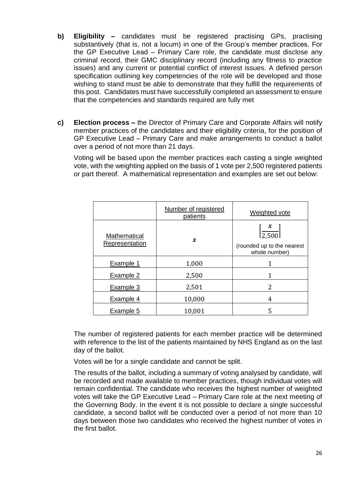- **b) Eligibility –** candidates must be registered practising GPs, practising substantively (that is, not a locum) in one of the Group's member practices. For the GP Executive Lead – Primary Care role, the candidate must disclose any criminal record, their GMC disciplinary record (including any fitness to practice issues) and any current or potential conflict of interest issues. A defined person specification outlining key competencies of the role will be developed and those wishing to stand must be able to demonstrate that they fulfill the requirements of this post. Candidates must have successfully completed an assessment to ensure that the competencies and standards required are fully met
- **c) Election process –** the Director of Primary Care and Corporate Affairs will notify member practices of the candidates and their eligibility criteria, for the position of GP Executive Lead – Primary Care and make arrangements to conduct a ballot over a period of not more than 21 days.

Voting will be based upon the member practices each casting a single weighted vote, with the weighting applied on the basis of 1 vote per 2,500 registered patients or part thereof. A mathematical representation and examples are set out below:

|                                | Number of registered<br>patients | Weighted vote                                                                     |
|--------------------------------|----------------------------------|-----------------------------------------------------------------------------------|
| Mathematical<br>Representation | $\boldsymbol{x}$                 | $\mathbf{x}$<br>$\overline{2,500}$<br>(rounded up to the nearest<br>whole number) |
| Example 1                      | 1,000                            |                                                                                   |
| Example 2                      | 2,500                            |                                                                                   |
| Example 3                      | 2,501                            | 2                                                                                 |
| Example 4                      | 10,000                           | 4                                                                                 |
| Example 5                      | 10,001                           | 5                                                                                 |

The number of registered patients for each member practice will be determined with reference to the list of the patients maintained by NHS England as on the last day of the ballot.

Votes will be for a single candidate and cannot be split.

The results of the ballot, including a summary of voting analysed by candidate, will be recorded and made available to member practices, though individual votes will remain confidential. The candidate who receives the highest number of weighted votes will take the GP Executive Lead – Primary Care role at the next meeting of the Governing Body. In the event it is not possible to declare a single successful candidate, a second ballot will be conducted over a period of not more than 10 days between those two candidates who received the highest number of votes in the first ballot.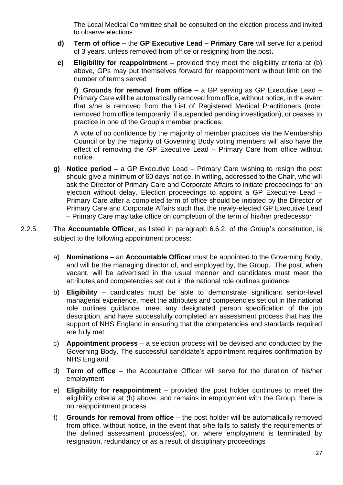The Local Medical Committee shall be consulted on the election process and invited to observe elections

- **d) Term of office –** the **GP Executive Lead – Primary Care** will serve for a period of 3 years, unless removed from office or resigning from the post**.**
- **e) Eligibility for reappointment –** provided they meet the eligibility criteria at (b) above, GPs may put themselves forward for reappointment without limit on the number of terms served

**f) Grounds for removal from office –** a GP serving as GP Executive Lead – Primary Care will be automatically removed from office, without notice, in the event that s/he is removed from the List of Registered Medical Practitioners (note: removed from office temporarily, if suspended pending investigation), or ceases to practice in one of the Group's member practices.

A vote of no confidence by the majority of member practices via the Membership Council or by the majority of Governing Body voting members will also have the effect of removing the GP Executive Lead – Primary Care from office without notice.

- **g) Notice period –** a GP Executive Lead Primary Care wishing to resign the post should give a minimum of 60 days' notice, in writing, addressed to the Chair, who will ask the Director of Primary Care and Corporate Affairs to initiate proceedings for an election without delay. Election proceedings to appoint a GP Executive Lead – Primary Care after a completed term of office should be initiated by the Director of Primary Care and Corporate Affairs such that the newly-elected GP Executive Lead – Primary Care may take office on completion of the term of his/her predecessor
- 2.2.5. The **Accountable Officer**, as listed in paragraph 6.6.2. of the Group's constitution, is subject to the following appointment process:
	- a) **Nominations** an **Accountable Officer** must be appointed to the Governing Body, and will be the managing director of, and employed by, the Group. The post, when vacant, will be advertised in the usual manner and candidates must meet the attributes and competencies set out in the national role outlines guidance
	- b) **Eligibility** candidates must be able to demonstrate significant senior-level managerial experience, meet the attributes and competencies set out in the national role outlines guidance, meet any designated person specification of the job description, and have successfully completed an assessment process that has the support of NHS England in ensuring that the competencies and standards required are fully met.
	- c) **Appointment process** a selection process will be devised and conducted by the Governing Body. The successful candidate's appointment requires confirmation by NHS England
	- d) **Term of office** the Accountable Officer will serve for the duration of his/her employment
	- e) **Eligibility for reappointment** provided the post holder continues to meet the eligibility criteria at (b) above, and remains in employment with the Group, there is no reappointment process
	- f) **Grounds for removal from office** the post holder will be automatically removed from office, without notice, in the event that s/he fails to satisfy the requirements of the defined assessment process(es), or, where employment is terminated by resignation, redundancy or as a result of disciplinary proceedings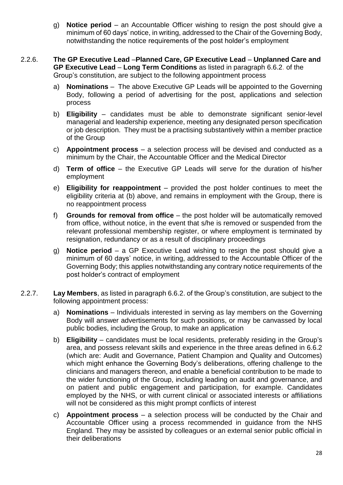- g) **Notice period** an Accountable Officer wishing to resign the post should give a minimum of 60 days' notice, in writing, addressed to the Chair of the Governing Body, notwithstanding the notice requirements of the post holder's employment
- 2.2.6. **The GP Executive Lead** –**Planned Care, GP Executive Lead Unplanned Care and GP Executive Lead** – **Long Term Conditions** as listed in paragraph 6.6.2. of the Group's constitution, are subject to the following appointment process
	- a) **Nominations** The above Executive GP Leads will be appointed to the Governing Body, following a period of advertising for the post, applications and selection process
	- b) **Eligibility** candidates must be able to demonstrate significant senior-level managerial and leadership experience, meeting any designated person specification or job description. They must be a practising substantively within a member practice of the Group
	- c) **Appointment process** a selection process will be devised and conducted as a minimum by the Chair, the Accountable Officer and the Medical Director
	- d) **Term of office** the Executive GP Leads will serve for the duration of his/her employment
	- e) **Eligibility for reappointment** provided the post holder continues to meet the eligibility criteria at (b) above, and remains in employment with the Group, there is no reappointment process
	- f) **Grounds for removal from office** the post holder will be automatically removed from office, without notice, in the event that s/he is removed or suspended from the relevant professional membership register, or where employment is terminated by resignation, redundancy or as a result of disciplinary proceedings
	- g) **Notice period** a GP Executive Lead wishing to resign the post should give a minimum of 60 days' notice, in writing, addressed to the Accountable Officer of the Governing Body; this applies notwithstanding any contrary notice requirements of the post holder's contract of employment
- 2.2.7. **Lay Members**, as listed in paragraph 6.6.2. of the Group's constitution, are subject to the following appointment process:
	- a) **Nominations** Individuals interested in serving as lay members on the Governing Body will answer advertisements for such positions, or may be canvassed by local public bodies, including the Group, to make an application
	- b) **Eligibility** candidates must be local residents, preferably residing in the Group's area, and possess relevant skills and experience in the three areas defined in 6.6.2 (which are: Audit and Governance, Patient Champion and Quality and Outcomes) which might enhance the Governing Body's deliberations, offering challenge to the clinicians and managers thereon, and enable a beneficial contribution to be made to the wider functioning of the Group, including leading on audit and governance, and on patient and public engagement and participation, for example. Candidates employed by the NHS, or with current clinical or associated interests or affiliations will not be considered as this might prompt conflicts of interest
	- c) **Appointment process** a selection process will be conducted by the Chair and Accountable Officer using a process recommended in guidance from the NHS England. They may be assisted by colleagues or an external senior public official in their deliberations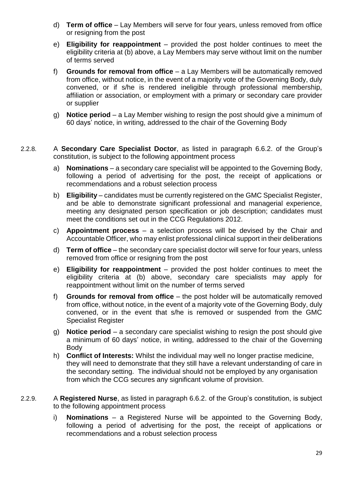- d) **Term of office** Lay Members will serve for four years, unless removed from office or resigning from the post
- e) **Eligibility for reappointment** provided the post holder continues to meet the eligibility criteria at (b) above, a Lay Members may serve without limit on the number of terms served
- f) **Grounds for removal from office** a Lay Members will be automatically removed from office, without notice, in the event of a majority vote of the Governing Body, duly convened, or if s/he is rendered ineligible through professional membership, affiliation or association, or employment with a primary or secondary care provider or supplier
- g) **Notice period** a Lay Member wishing to resign the post should give a minimum of 60 days' notice, in writing, addressed to the chair of the Governing Body
- 2.2.8. A **Secondary Care Specialist Doctor**, as listed in paragraph 6.6.2. of the Group's constitution, is subject to the following appointment process
	- a) **Nominations** a secondary care specialist will be appointed to the Governing Body, following a period of advertising for the post, the receipt of applications or recommendations and a robust selection process
	- b) **Eligibility** candidates must be currently registered on the GMC Specialist Register, and be able to demonstrate significant professional and managerial experience, meeting any designated person specification or job description; candidates must meet the conditions set out in the CCG Regulations 2012.
	- c) **Appointment process** a selection process will be devised by the Chair and Accountable Officer, who may enlist professional clinical support in their deliberations
	- d) **Term of office** the secondary care specialist doctor will serve for four years, unless removed from office or resigning from the post
	- e) **Eligibility for reappointment** provided the post holder continues to meet the eligibility criteria at (b) above, secondary care specialists may apply for reappointment without limit on the number of terms served
	- f) **Grounds for removal from office** the post holder will be automatically removed from office, without notice, in the event of a majority vote of the Governing Body, duly convened, or in the event that s/he is removed or suspended from the GMC Specialist Register
	- g) **Notice period** a secondary care specialist wishing to resign the post should give a minimum of 60 days' notice, in writing, addressed to the chair of the Governing Body
	- h) **Conflict of Interests:** Whilst the individual may well no longer practise medicine, they will need to demonstrate that they still have a relevant understanding of care in the secondary setting. The individual should not be employed by any organisation from which the CCG secures any significant volume of provision.
- 2.2.9. A **Registered Nurse**, as listed in paragraph 6.6.2. of the Group's constitution, is subject to the following appointment process
	- i) **Nominations** a Registered Nurse will be appointed to the Governing Body, following a period of advertising for the post, the receipt of applications or recommendations and a robust selection process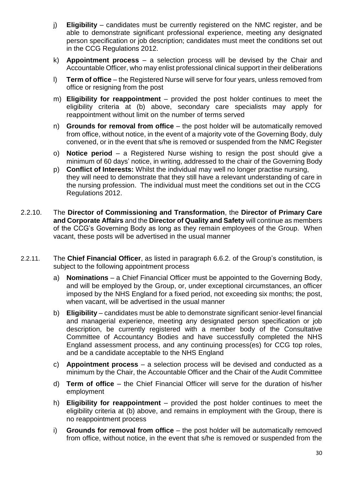- j) **Eligibility** candidates must be currently registered on the NMC register, and be able to demonstrate significant professional experience, meeting any designated person specification or job description; candidates must meet the conditions set out in the CCG Regulations 2012.
- k) **Appointment process** a selection process will be devised by the Chair and Accountable Officer, who may enlist professional clinical support in their deliberations
- l) **Term of office** the Registered Nurse will serve for four years, unless removed from office or resigning from the post
- m) **Eligibility for reappointment** provided the post holder continues to meet the eligibility criteria at (b) above, secondary care specialists may apply for reappointment without limit on the number of terms served
- n) **Grounds for removal from office** the post holder will be automatically removed from office, without notice, in the event of a majority vote of the Governing Body, duly convened, or in the event that s/he is removed or suspended from the NMC Register
- o) **Notice period** a Registered Nurse wishing to resign the post should give a minimum of 60 days' notice, in writing, addressed to the chair of the Governing Body
- p) **Conflict of Interests:** Whilst the individual may well no longer practise nursing, they will need to demonstrate that they still have a relevant understanding of care in the nursing profession. The individual must meet the conditions set out in the CCG Regulations 2012.
- 2.2.10. The **Director of Commissioning and Transformation**, the **Director of Primary Care and Corporate Affairs** and the **Director of Quality and Safety** will continue as members of the CCG's Governing Body as long as they remain employees of the Group. When vacant, these posts will be advertised in the usual manner
- 2.2.11. The **Chief Financial Officer**, as listed in paragraph 6.6.2. of the Group's constitution, is subject to the following appointment process
	- a) **Nominations** a Chief Financial Officer must be appointed to the Governing Body, and will be employed by the Group, or, under exceptional circumstances, an officer imposed by the NHS England for a fixed period, not exceeding six months; the post, when vacant, will be advertised in the usual manner
	- b) **Eligibility** candidates must be able to demonstrate significant senior-level financial and managerial experience, meeting any designated person specification or job description, be currently registered with a member body of the Consultative Committee of Accountancy Bodies and have successfully completed the NHS England assessment process, and any continuing process(es) for CCG top roles, and be a candidate acceptable to the NHS England
	- c) **Appointment process** a selection process will be devised and conducted as a minimum by the Chair, the Accountable Officer and the Chair of the Audit Committee
	- d) **Term of office** the Chief Financial Officer will serve for the duration of his/her employment
	- h) **Eligibility for reappointment** provided the post holder continues to meet the eligibility criteria at (b) above, and remains in employment with the Group, there is no reappointment process
	- i) **Grounds for removal from office** the post holder will be automatically removed from office, without notice, in the event that s/he is removed or suspended from the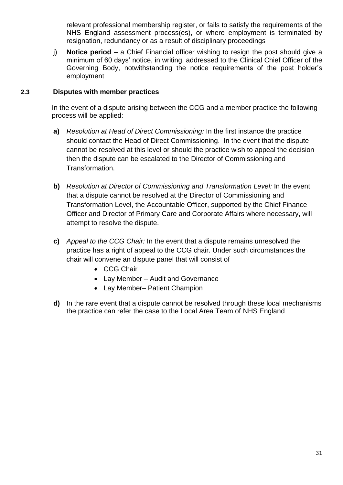relevant professional membership register, or fails to satisfy the requirements of the NHS England assessment process(es), or where employment is terminated by resignation, redundancy or as a result of disciplinary proceedings

j) **Notice period** – a Chief Financial officer wishing to resign the post should give a minimum of 60 days' notice, in writing, addressed to the Clinical Chief Officer of the Governing Body, notwithstanding the notice requirements of the post holder's employment

#### **2.3 Disputes with member practices**

In the event of a dispute arising between the CCG and a member practice the following process will be applied:

- **a)** *Resolution at Head of Direct Commissioning:* In the first instance the practice should contact the Head of Direct Commissioning. In the event that the dispute cannot be resolved at this level or should the practice wish to appeal the decision then the dispute can be escalated to the Director of Commissioning and Transformation.
- **b)** *Resolution at Director of Commissioning and Transformation Level:* In the event that a dispute cannot be resolved at the Director of Commissioning and Transformation Level, the Accountable Officer, supported by the Chief Finance Officer and Director of Primary Care and Corporate Affairs where necessary, will attempt to resolve the dispute.
- **c)** *Appeal to the CCG Chair:* In the event that a dispute remains unresolved the practice has a right of appeal to the CCG chair. Under such circumstances the chair will convene an dispute panel that will consist of
	- CCG Chair
	- Lay Member Audit and Governance
	- Lay Member– Patient Champion
- **d)** In the rare event that a dispute cannot be resolved through these local mechanisms the practice can refer the case to the Local Area Team of NHS England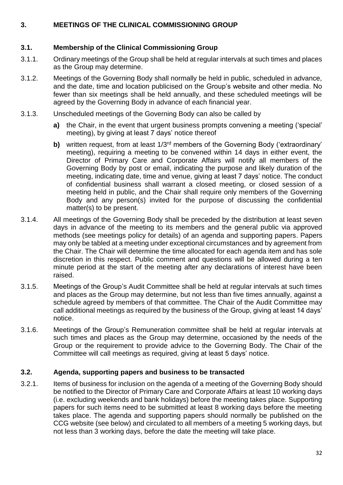### **3. MEETINGS OF THE CLINICAL COMMISSIONING GROUP**

# **3.1. Membership of the Clinical Commissioning Group**

- 3.1.1. Ordinary meetings of the Group shall be held at regular intervals at such times and places as the Group may determine.
- 3.1.2. Meetings of the Governing Body shall normally be held in public, scheduled in advance, and the date, time and location publicised on the Group's website and other media. No fewer than six meetings shall be held annually, and these scheduled meetings will be agreed by the Governing Body in advance of each financial year.
- 3.1.3. Unscheduled meetings of the Governing Body can also be called by
	- **a)** the Chair, in the event that urgent business prompts convening a meeting ('special' meeting), by giving at least 7 days' notice thereof
	- **b)** written request, from at least 1/3<sup>rd</sup> members of the Governing Body ('extraordinary' meeting), requiring a meeting to be convened within 14 days in either event, the Director of Primary Care and Corporate Affairs will notify all members of the Governing Body by post or email, indicating the purpose and likely duration of the meeting, indicating date, time and venue, giving at least 7 days' notice. The conduct of confidential business shall warrant a closed meeting, or closed session of a meeting held in public, and the Chair shall require only members of the Governing Body and any person(s) invited for the purpose of discussing the confidential matter(s) to be present.
- 3.1.4. All meetings of the Governing Body shall be preceded by the distribution at least seven days in advance of the meeting to its members and the general public via approved methods (see meetings policy for details) of an agenda and supporting papers. Papers may only be tabled at a meeting under exceptional circumstances and by agreement from the Chair. The Chair will determine the time allocated for each agenda item and has sole discretion in this respect. Public comment and questions will be allowed during a ten minute period at the start of the meeting after any declarations of interest have been raised.
- 3.1.5. Meetings of the Group's Audit Committee shall be held at regular intervals at such times and places as the Group may determine, but not less than five times annually, against a schedule agreed by members of that committee. The Chair of the Audit Committee may call additional meetings as required by the business of the Group, giving at least 14 days' notice.
- 3.1.6. Meetings of the Group's Remuneration committee shall be held at regular intervals at such times and places as the Group may determine, occasioned by the needs of the Group or the requirement to provide advice to the Governing Body. The Chair of the Committee will call meetings as required, giving at least 5 days' notice.

#### **3.2. Agenda, supporting papers and business to be transacted**

3.2.1. Items of business for inclusion on the agenda of a meeting of the Governing Body should be notified to the Director of Primary Care and Corporate Affairs at least 10 working days (i.e. excluding weekends and bank holidays) before the meeting takes place. Supporting papers for such items need to be submitted at least 8 working days before the meeting takes place. The agenda and supporting papers should normally be published on the CCG website (see below) and circulated to all members of a meeting 5 working days, but not less than 3 working days, before the date the meeting will take place.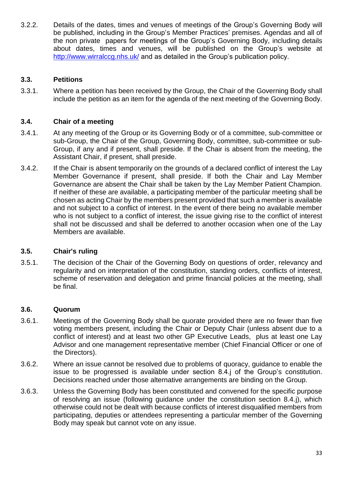3.2.2. Details of the dates, times and venues of meetings of the Group's Governing Body will be published, including in the Group's Member Practices' premises. Agendas and all of the non private papers for meetings of the Group's Governing Body, including details about dates, times and venues, will be published on the Group's website at <http://www.wirralccg.nhs.uk/> and as detailed in the Group's publication policy.

#### **3.3. Petitions**

3.3.1. Where a petition has been received by the Group, the Chair of the Governing Body shall include the petition as an item for the agenda of the next meeting of the Governing Body.

# **3.4. Chair of a meeting**

- 3.4.1. At any meeting of the Group or its Governing Body or of a committee, sub-committee or sub-Group, the Chair of the Group, Governing Body, committee, sub-committee or sub-Group, if any and if present, shall preside. If the Chair is absent from the meeting, the Assistant Chair, if present, shall preside.
- 3.4.2. If the Chair is absent temporarily on the grounds of a declared conflict of interest the Lay Member Governance if present, shall preside. If both the Chair and Lay Member Governance are absent the Chair shall be taken by the Lay Member Patient Champion. If neither of these are available, a participating member of the particular meeting shall be chosen as acting Chair by the members present provided that such a member is available and not subject to a conflict of interest. In the event of there being no available member who is not subject to a conflict of interest, the issue giving rise to the conflict of interest shall not be discussed and shall be deferred to another occasion when one of the Lay Members are available.

#### **3.5. Chair's ruling**

3.5.1. The decision of the Chair of the Governing Body on questions of order, relevancy and regularity and on interpretation of the constitution, standing orders, conflicts of interest, scheme of reservation and delegation and prime financial policies at the meeting, shall be final.

#### **3.6. Quorum**

- 3.6.1. Meetings of the Governing Body shall be quorate provided there are no fewer than five voting members present, including the Chair or Deputy Chair (unless absent due to a conflict of interest) and at least two other GP Executive Leads, plus at least one Lay Advisor and one management representative member (Chief Financial Officer or one of the Directors).
- 3.6.2. Where an issue cannot be resolved due to problems of quoracy, guidance to enable the issue to be progressed is available under section 8.4.j of the Group's constitution. Decisions reached under those alternative arrangements are binding on the Group.
- 3.6.3. Unless the Governing Body has been constituted and convened for the specific purpose of resolving an issue (following guidance under the constitution section 8.4.j), which otherwise could not be dealt with because conflicts of interest disqualified members from participating, deputies or attendees representing a particular member of the Governing Body may speak but cannot vote on any issue.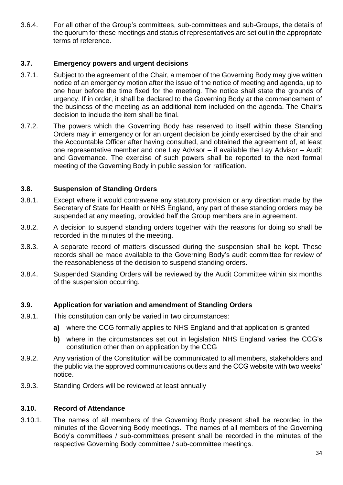3.6.4. For all other of the Group's committees, sub-committees and sub-Groups, the details of the quorum for these meetings and status of representatives are set out in the appropriate terms of reference.

#### **3.7. Emergency powers and urgent decisions**

- 3.7.1. Subject to the agreement of the Chair, a member of the Governing Body may give written notice of an emergency motion after the issue of the notice of meeting and agenda, up to one hour before the time fixed for the meeting. The notice shall state the grounds of urgency. If in order, it shall be declared to the Governing Body at the commencement of the business of the meeting as an additional item included on the agenda. The Chair's decision to include the item shall be final.
- 3.7.2. The powers which the Governing Body has reserved to itself within these Standing Orders may in emergency or for an urgent decision be jointly exercised by the chair and the Accountable Officer after having consulted, and obtained the agreement of, at least one representative member and one Lay Advisor – if available the Lay Advisor – Audit and Governance. The exercise of such powers shall be reported to the next formal meeting of the Governing Body in public session for ratification.

#### **3.8. Suspension of Standing Orders**

- 3.8.1. Except where it would contravene any statutory provision or any direction made by the Secretary of State for Health or NHS England, any part of these standing orders may be suspended at any meeting, provided half the Group members are in agreement.
- 3.8.2. A decision to suspend standing orders together with the reasons for doing so shall be recorded in the minutes of the meeting.
- 3.8.3. A separate record of matters discussed during the suspension shall be kept. These records shall be made available to the Governing Body's audit committee for review of the reasonableness of the decision to suspend standing orders.
- 3.8.4. Suspended Standing Orders will be reviewed by the Audit Committee within six months of the suspension occurring.

#### **3.9. Application for variation and amendment of Standing Orders**

- 3.9.1. This constitution can only be varied in two circumstances:
	- **a)** where the CCG formally applies to NHS England and that application is granted
	- **b)** where in the circumstances set out in legislation NHS England varies the CCG's constitution other than on application by the CCG
- 3.9.2. Any variation of the Constitution will be communicated to all members, stakeholders and the public via the approved communications outlets and the CCG website with two weeks' notice.
- 3.9.3. Standing Orders will be reviewed at least annually

#### **3.10. Record of Attendance**

3.10.1. The names of all members of the Governing Body present shall be recorded in the minutes of the Governing Body meetings. The names of all members of the Governing Body's committees / sub-committees present shall be recorded in the minutes of the respective Governing Body committee / sub-committee meetings.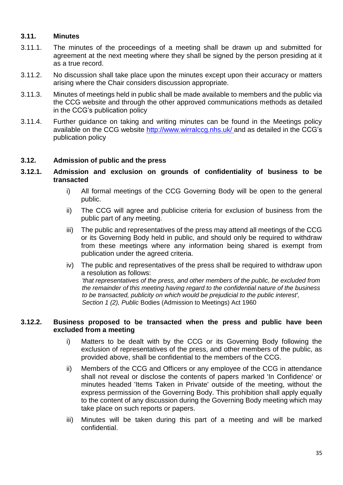#### **3.11. Minutes**

- 3.11.1. The minutes of the proceedings of a meeting shall be drawn up and submitted for agreement at the next meeting where they shall be signed by the person presiding at it as a true record.
- 3.11.2. No discussion shall take place upon the minutes except upon their accuracy or matters arising where the Chair considers discussion appropriate.
- 3.11.3. Minutes of meetings held in public shall be made available to members and the public via the CCG website and through the other approved communications methods as detailed in the CCG's publication policy
- 3.11.4. Further guidance on taking and writing minutes can be found in the Meetings policy available on the CCG website http://www.wirralccg.nhs.uk/ and as detailed in the CCG's publication policy

#### **3.12. Admission of public and the press**

- **3.12.1. Admission and exclusion on grounds of confidentiality of business to be transacted**
	- i) All formal meetings of the CCG Governing Body will be open to the general public.
	- ii) The CCG will agree and publicise criteria for exclusion of business from the public part of any meeting.
	- iii) The public and representatives of the press may attend all meetings of the CCG or its Governing Body held in public, and should only be required to withdraw from these meetings where any information being shared is exempt from publication under the agreed criteria.
	- iv) The public and representatives of the press shall be required to withdraw upon a resolution as follows: *'that representatives of the press, and other members of the public, be excluded from the remainder of this meeting having regard to the confidential nature of the business to be transacted, publicity on which would be prejudicial to the public interest', Section 1 (2), Public* Bodies (Admission to Meetings) Act 1960

#### **3.12.2. Business proposed to be transacted when the press and public have been excluded from a meeting**

- i) Matters to be dealt with by the CCG or its Governing Body following the exclusion of representatives of the press, and other members of the public, as provided above, shall be confidential to the members of the CCG.
- ii) Members of the CCG and Officers or any employee of the CCG in attendance shall not reveal or disclose the contents of papers marked 'In Confidence' or minutes headed 'Items Taken in Private' outside of the meeting, without the express permission of the Governing Body. This prohibition shall apply equally to the content of any discussion during the Governing Body meeting which may take place on such reports or papers.
- iii) Minutes will be taken during this part of a meeting and will be marked confidential.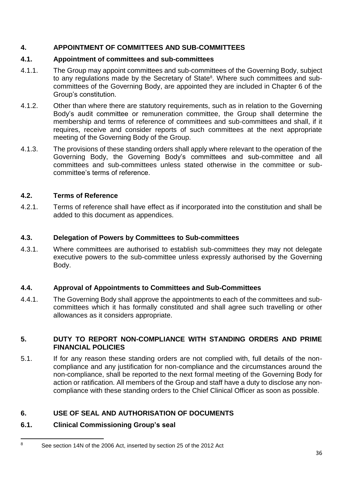# **4. APPOINTMENT OF COMMITTEES AND SUB-COMMITTEES**

### **4.1. Appointment of committees and sub-committees**

- 4.1.1. The Group may appoint committees and sub-committees of the Governing Body, subject to any regulations made by the Secretary of State<sup>8</sup>. Where such committees and subcommittees of the Governing Body, are appointed they are included in Chapter 6 of the Group's constitution.
- 4.1.2. Other than where there are statutory requirements, such as in relation to the Governing Body's audit committee or remuneration committee, the Group shall determine the membership and terms of reference of committees and sub-committees and shall, if it requires, receive and consider reports of such committees at the next appropriate meeting of the Governing Body of the Group.
- 4.1.3. The provisions of these standing orders shall apply where relevant to the operation of the Governing Body, the Governing Body's committees and sub-committee and all committees and sub-committees unless stated otherwise in the committee or subcommittee's terms of reference.

# **4.2. Terms of Reference**

4.2.1. Terms of reference shall have effect as if incorporated into the constitution and shall be added to this document as appendices.

# **4.3. Delegation of Powers by Committees to Sub-committees**

4.3.1. Where committees are authorised to establish sub-committees they may not delegate executive powers to the sub-committee unless expressly authorised by the Governing Body.

# **4.4. Approval of Appointments to Committees and Sub-Committees**

4.4.1. The Governing Body shall approve the appointments to each of the committees and subcommittees which it has formally constituted and shall agree such travelling or other allowances as it considers appropriate.

# **5. DUTY TO REPORT NON-COMPLIANCE WITH STANDING ORDERS AND PRIME FINANCIAL POLICIES**

5.1. If for any reason these standing orders are not complied with, full details of the noncompliance and any justification for non-compliance and the circumstances around the non-compliance, shall be reported to the next formal meeting of the Governing Body for action or ratification. All members of the Group and staff have a duty to disclose any noncompliance with these standing orders to the Chief Clinical Officer as soon as possible.

# **6. USE OF SEAL AND AUTHORISATION OF DOCUMENTS**

# **6.1. Clinical Commissioning Group's seal**

**<sup>.</sup>** <sup>8</sup> See section 14N of the 2006 Act, inserted by section 25 of the 2012 Act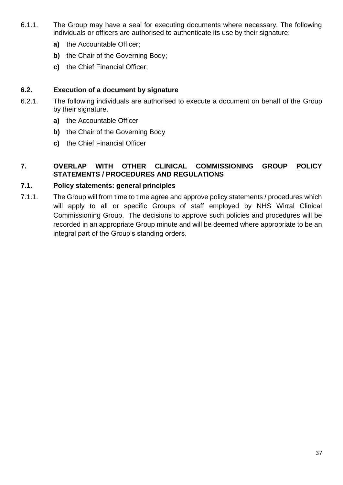- 6.1.1. The Group may have a seal for executing documents where necessary. The following individuals or officers are authorised to authenticate its use by their signature:
	- **a)** the Accountable Officer;
	- **b)** the Chair of the Governing Body;
	- **c)** the Chief Financial Officer;

### **6.2. Execution of a document by signature**

- 6.2.1. The following individuals are authorised to execute a document on behalf of the Group by their signature.
	- **a)** the Accountable Officer
	- **b)** the Chair of the Governing Body
	- **c)** the Chief Financial Officer

# **7. OVERLAP WITH OTHER CLINICAL COMMISSIONING GROUP POLICY STATEMENTS / PROCEDURES AND REGULATIONS**

# **7.1. Policy statements: general principles**

7.1.1. The Group will from time to time agree and approve policy statements / procedures which will apply to all or specific Groups of staff employed by NHS Wirral Clinical Commissioning Group. The decisions to approve such policies and procedures will be recorded in an appropriate Group minute and will be deemed where appropriate to be an integral part of the Group's standing orders.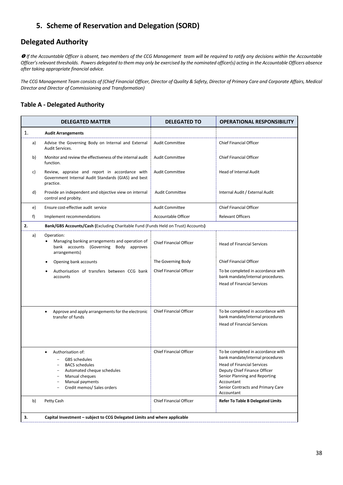# **5. Scheme of Reservation and Delegation (SORD)**

# **Delegated Authority**

 *If the Accountable Officer is absent, two members of the CCG Management team will be required to ratify any decisions within the Accountable Officer'srelevant thresholds. Powers delegated to them may only be exercised by the nominated officer(s) acting in the Accountable Officers absence after taking appropriate financial advice.*

*The CCG Management Team consists of (Chief Financial Officer, Director of Quality & Safety, Director of Primary Care and Corporate Affairs, Medical Director and Director of Commissioning and Transformation)*

#### **Table A - Delegated Authority**

| <b>DELEGATED MATTER</b> |                                                                                                                                                                                  | <b>DELEGATED TO</b>            | <b>OPERATIONAL RESPONSIBILITY</b>                                                                                                                                                                                                             |
|-------------------------|----------------------------------------------------------------------------------------------------------------------------------------------------------------------------------|--------------------------------|-----------------------------------------------------------------------------------------------------------------------------------------------------------------------------------------------------------------------------------------------|
| 1.                      | <b>Audit Arrangements</b>                                                                                                                                                        |                                |                                                                                                                                                                                                                                               |
| a)                      | Advise the Governing Body on Internal and External<br>Audit Services.                                                                                                            | <b>Audit Committee</b>         | <b>Chief Financial Officer</b>                                                                                                                                                                                                                |
| b)                      | Monitor and review the effectiveness of the internal audit<br>function.                                                                                                          | Audit Committee                | <b>Chief Financial Officer</b>                                                                                                                                                                                                                |
| c)                      | Review, appraise and report in accordance with<br>Government Internal Audit Standards (GIAS) and best<br>practice.                                                               | <b>Audit Committee</b>         | <b>Head of Internal Audit</b>                                                                                                                                                                                                                 |
| d)                      | Provide an independent and objective view on internal<br>control and probity.                                                                                                    | <b>Audit Committee</b>         | Internal Audit / External Audit                                                                                                                                                                                                               |
| e)                      | Ensure cost-effective audit service                                                                                                                                              | <b>Audit Committee</b>         | <b>Chief Financial Officer</b>                                                                                                                                                                                                                |
| f)                      | Implement recommendations                                                                                                                                                        | Accountable Officer            | <b>Relevant Officers</b>                                                                                                                                                                                                                      |
| 2.                      | Bank/GBS Accounts/Cash (Excluding Charitable Fund (Funds Held on Trust) Accounts)                                                                                                |                                |                                                                                                                                                                                                                                               |
| a)                      | Operation:<br>Managing banking arrangements and operation of<br>bank accounts (Governing<br>Body approves<br>arrangements)                                                       | <b>Chief Financial Officer</b> | <b>Head of Financial Services</b>                                                                                                                                                                                                             |
|                         | Opening bank accounts                                                                                                                                                            | The Governing Body             | <b>Chief Financial Officer</b>                                                                                                                                                                                                                |
|                         | Authorisation of transfers between CCG bank<br>accounts                                                                                                                          | <b>Chief Financial Officer</b> | To be completed in accordance with<br>bank mandate/internal procedures.<br><b>Head of Financial Services</b>                                                                                                                                  |
|                         | Approve and apply arrangements for the electronic<br>transfer of funds                                                                                                           | <b>Chief Financial Officer</b> | To be completed in accordance with<br>bank mandate/internal procedures<br><b>Head of Financial Services</b>                                                                                                                                   |
|                         | Authorisation of:<br>$\bullet$<br><b>GBS</b> schedules<br><b>BACS</b> schedules<br>Automated cheque schedules<br>Manual cheques<br>Manual payments<br>Credit memos/ Sales orders | <b>Chief Financial Officer</b> | To be completed in accordance with<br>bank mandate/internal procedures<br><b>Head of Financial Services</b><br>Deputy Chief Finance Officer<br>Senior Planning and Reporting<br>Accountant<br>Senior Contracts and Primary Care<br>Accountant |
| b)                      | Petty Cash                                                                                                                                                                       | <b>Chief Financial Officer</b> | <b>Refer To Table B Delegated Limits</b>                                                                                                                                                                                                      |
| 3.                      | Capital Investment - subject to CCG Delegated Limits and where applicable                                                                                                        |                                |                                                                                                                                                                                                                                               |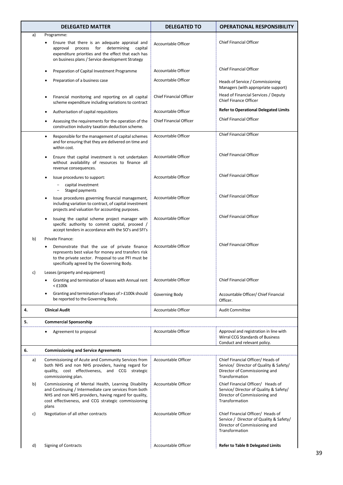|    | <b>DELEGATED MATTER</b>                                                                                                                                                                                                               | <b>DELEGATED TO</b>            | <b>OPERATIONAL RESPONSIBILITY</b>                                                                                               |
|----|---------------------------------------------------------------------------------------------------------------------------------------------------------------------------------------------------------------------------------------|--------------------------------|---------------------------------------------------------------------------------------------------------------------------------|
| a) | Programme:<br>Ensure that there is an adequate appraisal and                                                                                                                                                                          | Accountable Officer            | <b>Chief Financial Officer</b>                                                                                                  |
|    | process for determining<br>approval<br>capital<br>expenditure priorities and the effect that each has<br>on business plans / Service development Strategy                                                                             |                                |                                                                                                                                 |
|    | Preparation of Capital Investment Programme<br>٠                                                                                                                                                                                      | Accountable Officer            | <b>Chief Financial Officer</b>                                                                                                  |
|    | Preparation of a business case                                                                                                                                                                                                        | Accountable Officer            | Heads of Service / Commissioning<br>Managers (with appropriate support)                                                         |
|    | Financial monitoring and reporting on all capital<br>٠<br>scheme expenditure including variations to contract                                                                                                                         | <b>Chief Financial Officer</b> | Head of Financial Services / Deputy<br><b>Chief Finance Officer</b>                                                             |
|    | Authorisation of capital requisitions<br>٠                                                                                                                                                                                            | Accountable Officer            | <b>Refer to Operational Delegated Limits</b>                                                                                    |
|    | Assessing the requirements for the operation of the<br>٠<br>construction industry taxation deduction scheme.                                                                                                                          | <b>Chief Financial Officer</b> | <b>Chief Financial Officer</b>                                                                                                  |
|    | Responsible for the management of capital schemes<br>$\bullet$<br>and for ensuring that they are delivered on time and<br>within cost.                                                                                                | Accountable Officer            | <b>Chief Financial Officer</b>                                                                                                  |
|    | Ensure that capital investment is not undertaken<br>٠<br>without availability of resources to finance all<br>revenue consequences.                                                                                                    | Accountable Officer            | <b>Chief Financial Officer</b>                                                                                                  |
|    | Issue procedures to support:<br>capital investment<br>Staged payments                                                                                                                                                                 | Accountable Officer            | <b>Chief Financial Officer</b>                                                                                                  |
|    | Issue procedures governing financial management,<br>including variation to contract, of capital investment<br>projects and valuation for accounting purposes.                                                                         | Accountable Officer            | <b>Chief Financial Officer</b>                                                                                                  |
|    | Issuing the capital scheme project manager with<br>٠<br>specific authority to commit capital, proceed /<br>accept tenders in accordance with the SO's and SFI's                                                                       | Accountable Officer            | <b>Chief Financial Officer</b>                                                                                                  |
| b) | Private Finance:                                                                                                                                                                                                                      |                                | <b>Chief Financial Officer</b>                                                                                                  |
|    | Demonstrate that the use of private finance<br>represents best value for money and transfers risk<br>to the private sector. Proposal to use PFI must be<br>specifically agreed by the Governing Body.                                 | Accountable Officer            |                                                                                                                                 |
| c) | Leases (property and equipment)                                                                                                                                                                                                       |                                |                                                                                                                                 |
|    | Granting and termination of leases with Annual rent   Accountable Officer<br>$<$ £100 $k$                                                                                                                                             |                                | Chief Financial Officer                                                                                                         |
|    | Granting and termination of leases of > £100k should<br>$\bullet$<br>be reported to the Governing Body.                                                                                                                               | Governing Body                 | Accountable Officer/ Chief Financial<br>Officer.                                                                                |
| 4. | <b>Clinical Audit</b>                                                                                                                                                                                                                 | Accountable Officer            | <b>Audit Committee</b>                                                                                                          |
| 5. | <b>Commercial Sponsorship</b>                                                                                                                                                                                                         |                                |                                                                                                                                 |
|    | Agreement to proposal<br>٠                                                                                                                                                                                                            | Accountable Officer            | Approval and registration in line with<br>Wirral CCG Standards of Business<br>Conduct and relevant policy.                      |
| 6. | <b>Commissioning and Service Agreements</b>                                                                                                                                                                                           |                                |                                                                                                                                 |
| a) | Commissioning of Acute and Community Services from<br>both NHS and non NHS providers, having regard for<br>quality, cost effectiveness, and CCG strategic<br>commissioning plan.                                                      | Accountable Officer            | Chief Financial Officer/ Heads of<br>Service/ Director of Quality & Safety/<br>Director of Commissioning and<br>Transformation  |
| b) | Commissioning of Mental Health, Learning Disability<br>and Continuing / Intermediate care services from both<br>NHS and non NHS providers, having regard for quality,<br>cost effectiveness, and CCG strategic commissioning<br>plans | Accountable Officer            | Chief Financial Officer/ Heads of<br>Service/Director of Quality & Safety/<br>Director of Commissioning and<br>Transformation   |
| c) | Negotiation of all other contracts                                                                                                                                                                                                    | Accountable Officer            | Chief Financial Officer/ Heads of<br>Service / Director of Quality & Safety/<br>Director of Commissioning and<br>Transformation |
| d) | <b>Signing of Contracts</b>                                                                                                                                                                                                           | Accountable Officer            | <b>Refer to Table B Delegated Limits</b>                                                                                        |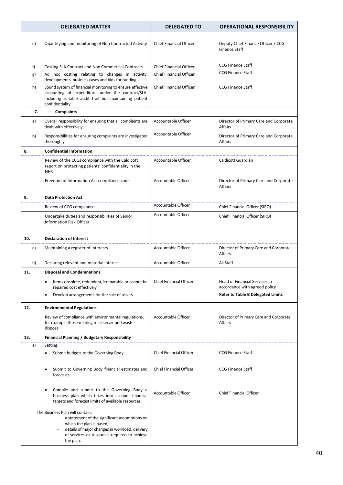| <b>DELEGATED MATTER</b>                                                                                                                                                                                                     |                                                                                                                                                                                             | <b>DELEGATED TO</b>            | <b>OPERATIONAL RESPONSIBILITY</b>                                                                          |
|-----------------------------------------------------------------------------------------------------------------------------------------------------------------------------------------------------------------------------|---------------------------------------------------------------------------------------------------------------------------------------------------------------------------------------------|--------------------------------|------------------------------------------------------------------------------------------------------------|
| e)                                                                                                                                                                                                                          | Quantifying and monitoring of Non Contracted Activity                                                                                                                                       | <b>Chief Financial Officer</b> | Deputy Chief Finance Officer / CCG<br><b>Finance Staff</b>                                                 |
| f)                                                                                                                                                                                                                          | Costing SLA Contract and Non Commercial Contracts                                                                                                                                           | <b>Chief Financial Officer</b> | <b>CCG Finance Staff</b>                                                                                   |
| g)                                                                                                                                                                                                                          | Ad hoc costing relating to changes in activity,                                                                                                                                             | <b>Chief Financial Officer</b> | <b>CCG Finance Staff</b>                                                                                   |
|                                                                                                                                                                                                                             | developments, business cases and bids for funding                                                                                                                                           |                                |                                                                                                            |
| h)                                                                                                                                                                                                                          | Sound system of financial monitoring to ensure effective<br>accounting of expenditure under the contract/SLA.<br>Including suitable audit trail but maintaining patient<br>confidentiality. | <b>Chief Financial Officer</b> | <b>CCG Finance Staff</b>                                                                                   |
|                                                                                                                                                                                                                             | 7.<br><b>Complaints</b>                                                                                                                                                                     |                                |                                                                                                            |
| a)                                                                                                                                                                                                                          | Overall responsibility for ensuring that all complaints are<br>dealt with effectively                                                                                                       | Accountable Officer            | Director of Primary Care and Corporate<br>Affairs                                                          |
| b)                                                                                                                                                                                                                          | Responsibilities for ensuring complaints are investigated<br>thoroughly.                                                                                                                    | Accountable Officer            | Director of Primary Care and Corporate<br>Affairs                                                          |
| 8.                                                                                                                                                                                                                          | <b>Confidential Information</b>                                                                                                                                                             |                                |                                                                                                            |
|                                                                                                                                                                                                                             | Review of the CCGs compliance with the Caldicott<br>report on protecting patients' confidentiality in the<br><b>NHS</b>                                                                     | Accountable Officer            | Caldicott Guardian                                                                                         |
|                                                                                                                                                                                                                             | Freedom of Information Act compliance code                                                                                                                                                  | Accountable Officer            | Director of Primary Care and Corporate<br>Affairs                                                          |
| 9.                                                                                                                                                                                                                          | <b>Data Protection Act</b>                                                                                                                                                                  |                                |                                                                                                            |
|                                                                                                                                                                                                                             | Review of CCG compliance                                                                                                                                                                    | Accountable Officer            | Chief Financial Officer (SIRO)                                                                             |
|                                                                                                                                                                                                                             | Undertake duties and responsibilities of Senior<br><b>Information Risk Officer</b>                                                                                                          | Accountable Officer            | Chief Financial Officer (SIRO)                                                                             |
| 10.                                                                                                                                                                                                                         | <b>Declaration of Interest</b>                                                                                                                                                              |                                |                                                                                                            |
| a)                                                                                                                                                                                                                          | Maintaining a register of interests                                                                                                                                                         | Accountable Officer            | Director of Primary Care and Corporate<br>Affairs                                                          |
| b)                                                                                                                                                                                                                          | Declaring relevant and material interest                                                                                                                                                    | Accountable Officer            | All Staff                                                                                                  |
| 11.                                                                                                                                                                                                                         | <b>Disposal and Condemnations</b>                                                                                                                                                           |                                |                                                                                                            |
|                                                                                                                                                                                                                             | Items obsolete, redundant, irreparable or cannot be<br>repaired cost effectively<br>Develop arrangements for the sale of assets                                                             | <b>Chief Financial Officer</b> | Head of Financial Services in<br>accordance with agreed policy<br><b>Refer to Table B Delegated Limits</b> |
|                                                                                                                                                                                                                             |                                                                                                                                                                                             |                                |                                                                                                            |
| 12.                                                                                                                                                                                                                         | <b>Environmental Regulations</b>                                                                                                                                                            |                                |                                                                                                            |
|                                                                                                                                                                                                                             | Review of compliance with environmental regulations,<br>for example those relating to clean air and waste<br>disposal                                                                       | Accountable Officer            | Director of Primary Care and Corporate<br>Affairs                                                          |
| 13.                                                                                                                                                                                                                         | Financial Planning / Budgetary Responsibility                                                                                                                                               |                                |                                                                                                            |
| a)                                                                                                                                                                                                                          | Setting:                                                                                                                                                                                    |                                |                                                                                                            |
|                                                                                                                                                                                                                             | Submit budgets to the Governing Body                                                                                                                                                        | <b>Chief Financial Officer</b> | <b>CCG Finance Staff</b>                                                                                   |
|                                                                                                                                                                                                                             | Submit to Governing Body financial estimates and<br>forecasts                                                                                                                               | <b>Chief Financial Officer</b> | <b>CCG Finance Staff</b>                                                                                   |
|                                                                                                                                                                                                                             | Compile and submit to the Governing Body a<br>business plan which takes into account financial<br>targets and forecast limits of available resources.                                       | Accountable Officer            | <b>Chief Financial Officer</b>                                                                             |
| The Business Plan will contain:<br>a statement of the significant assumptions on<br>which the plan is based;<br>details of major changes in workload, delivery<br>of services or resources required to achieve<br>the plan. |                                                                                                                                                                                             |                                |                                                                                                            |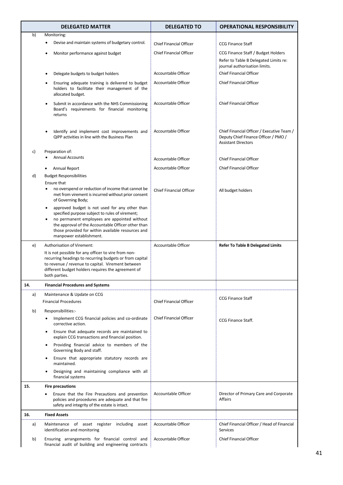|     | <b>DELEGATED MATTER</b>                                                                                                                                                                                                                                                                                   | <b>DELEGATED TO</b>            | <b>OPERATIONAL RESPONSIBILITY</b>                                                                                |
|-----|-----------------------------------------------------------------------------------------------------------------------------------------------------------------------------------------------------------------------------------------------------------------------------------------------------------|--------------------------------|------------------------------------------------------------------------------------------------------------------|
| b)  | Monitoring:                                                                                                                                                                                                                                                                                               |                                |                                                                                                                  |
|     | Devise and maintain systems of budgetary control.<br>٠                                                                                                                                                                                                                                                    | <b>Chief Financial Officer</b> | <b>CCG Finance Staff</b>                                                                                         |
|     | Monitor performance against budget<br>$\bullet$                                                                                                                                                                                                                                                           | <b>Chief Financial Officer</b> | CCG Finance Staff / Budget Holders<br>Refer to Table B Delegated Limits re:<br>journal authorisation limits.     |
|     | Delegate budgets to budget holders<br>٠                                                                                                                                                                                                                                                                   | Accountable Officer            | <b>Chief Financial Officer</b>                                                                                   |
|     | Ensuring adequate training is delivered to budget<br>٠<br>holders to facilitate their management of the<br>allocated budget.                                                                                                                                                                              | Accountable Officer            | <b>Chief Financial Officer</b>                                                                                   |
|     | Submit in accordance with the NHS Commissioning<br>٠<br>Board's requirements for financial monitoring<br>returns                                                                                                                                                                                          | Accountable Officer            | <b>Chief Financial Officer</b>                                                                                   |
|     | Identify and implement cost improvements and<br>٠<br>QIPP activities in line with the Business Plan                                                                                                                                                                                                       | Accountable Officer            | Chief Financial Officer / Executive Team /<br>Deputy Chief Finance Officer / PMO /<br><b>Assistant Directors</b> |
| c)  | Preparation of:<br><b>Annual Accounts</b><br>٠                                                                                                                                                                                                                                                            |                                |                                                                                                                  |
|     |                                                                                                                                                                                                                                                                                                           | Accountable Officer            | <b>Chief Financial Officer</b>                                                                                   |
| d)  | <b>Annual Report</b><br>$\bullet$<br><b>Budget Responsibilities</b>                                                                                                                                                                                                                                       | Accountable Officer            | <b>Chief Financial Officer</b>                                                                                   |
|     | Ensure that<br>no overspend or reduction of income that cannot be<br>٠<br>met from virement is incurred without prior consent<br>of Governing Body;                                                                                                                                                       | Chief Financial Officer        | All budget holders                                                                                               |
|     | approved budget is not used for any other than<br>٠<br>specified purpose subject to rules of virement;<br>no permanent employees are appointed without<br>$\bullet$<br>the approval of the Accountable Officer other than<br>those provided for within available resources and<br>manpower establishment. |                                |                                                                                                                  |
| e)  | Authorisation of Virement:                                                                                                                                                                                                                                                                                | Accountable Officer            | <b>Refer To Table B Delegated Limits</b>                                                                         |
|     | It is not possible for any officer to vire from non-<br>recurring headings to recurring budgets or from capital<br>to revenue / revenue to capital. Virement between<br>different budget holders requires the agreement of<br>both parties.                                                               |                                |                                                                                                                  |
| 14. | <b>Financial Procedures and Systems</b>                                                                                                                                                                                                                                                                   |                                |                                                                                                                  |
| a)  | Maintenance & Update on CCG                                                                                                                                                                                                                                                                               |                                |                                                                                                                  |
|     | <b>Financial Procedures</b>                                                                                                                                                                                                                                                                               | <b>Chief Financial Officer</b> | <b>CCG Finance Staff</b>                                                                                         |
| b)  | Responsibilities:-                                                                                                                                                                                                                                                                                        |                                |                                                                                                                  |
|     | Implement CCG financial policies and co-ordinate<br>corrective action.                                                                                                                                                                                                                                    | <b>Chief Financial Officer</b> | CCG Finance Staff.                                                                                               |
|     | Ensure that adequate records are maintained to<br>٠<br>explain CCG transactions and financial position.                                                                                                                                                                                                   |                                |                                                                                                                  |
|     | Providing financial advice to members of the<br>Governing Body and staff.<br>Ensure that appropriate statutory records are                                                                                                                                                                                |                                |                                                                                                                  |
|     | ٠<br>maintained.<br>Designing and maintaining compliance with all<br>$\bullet$                                                                                                                                                                                                                            |                                |                                                                                                                  |
|     | financial systems                                                                                                                                                                                                                                                                                         |                                |                                                                                                                  |
| 15. | <b>Fire precautions</b>                                                                                                                                                                                                                                                                                   |                                |                                                                                                                  |
|     | Ensure that the Fire Precautions and prevention<br>policies and procedures are adequate and that fire<br>safety and integrity of the estate is intact.                                                                                                                                                    | Accountable Officer            | Director of Primary Care and Corporate<br>Affairs                                                                |
| 16. | <b>Fixed Assets</b>                                                                                                                                                                                                                                                                                       |                                |                                                                                                                  |
| a)  | Maintenance of asset register including asset<br>identification and monitoring                                                                                                                                                                                                                            | Accountable Officer            | Chief Financial Officer / Head of Financial<br>Services                                                          |
| b)  | Ensuring arrangements for financial control and<br>financial audit of building and engineering contracts                                                                                                                                                                                                  | Accountable Officer            | <b>Chief Financial Officer</b>                                                                                   |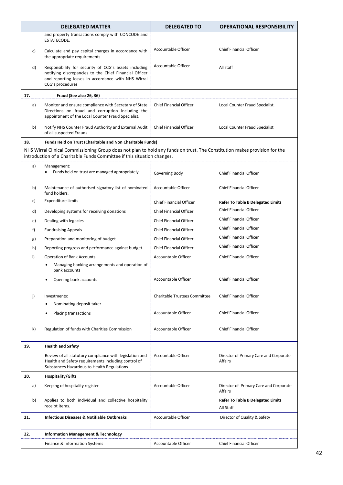| <b>DELEGATED MATTER</b> |                                                                                                                                                                                                                  | <b>DELEGATED TO</b>                  | <b>OPERATIONAL RESPONSIBILITY</b>                     |  |
|-------------------------|------------------------------------------------------------------------------------------------------------------------------------------------------------------------------------------------------------------|--------------------------------------|-------------------------------------------------------|--|
|                         | and property transactions comply with CONCODE and<br>ESTATECODE.                                                                                                                                                 |                                      |                                                       |  |
| c)                      | Calculate and pay capital charges in accordance with<br>the appropriate requirements                                                                                                                             | Accountable Officer                  | <b>Chief Financial Officer</b>                        |  |
| d)                      | Accountable Officer<br>Responsibility for security of CCG's assets including<br>notifying discrepancies to the Chief Financial Officer<br>and reporting losses in accordance with NHS Wirral<br>CCG's procedures |                                      | All staff                                             |  |
| 17.                     | Fraud (See also 26, 36)                                                                                                                                                                                          |                                      |                                                       |  |
| a)                      | Monitor and ensure compliance with Secretary of State<br>Directions on fraud and corruption including the<br>appointment of the Local Counter Fraud Specialist.                                                  | <b>Chief Financial Officer</b>       | Local Counter Fraud Specialist.                       |  |
| b)                      | Notify NHS Counter Fraud Authority and External Audit<br>of all suspected Frauds                                                                                                                                 | <b>Chief Financial Officer</b>       | Local Counter Fraud Specialist                        |  |
| 18.                     | Funds Held on Trust (Charitable and Non Charitable Funds)                                                                                                                                                        |                                      |                                                       |  |
|                         | NHS Wirral Clinical Commissioning Group does not plan to hold any funds on trust. The Constitution makes provision for the<br>introduction of a Charitable Funds Committee if this situation changes.            |                                      |                                                       |  |
| a)                      | Management:<br>Funds held on trust are managed appropriately.<br>$\bullet$                                                                                                                                       | Governing Body                       | <b>Chief Financial Officer</b>                        |  |
| b)                      | Maintenance of authorised signatory list of nominated<br>fund holders.                                                                                                                                           | <b>Accountable Officer</b>           | <b>Chief Financial Officer</b>                        |  |
| c)                      | <b>Expenditure Limits</b>                                                                                                                                                                                        | <b>Chief Financial Officer</b>       | <b>Refer To Table B Delegated Limits</b>              |  |
| d)                      | Developing systems for receiving donations                                                                                                                                                                       | <b>Chief Financial Officer</b>       | <b>Chief Financial Officer</b>                        |  |
| e)                      | Dealing with legacies                                                                                                                                                                                            | <b>Chief Financial Officer</b>       | <b>Chief Financial Officer</b>                        |  |
| f)                      | <b>Fundraising Appeals</b>                                                                                                                                                                                       | <b>Chief Financial Officer</b>       | <b>Chief Financial Officer</b>                        |  |
| g)                      | Preparation and monitoring of budget                                                                                                                                                                             | <b>Chief Financial Officer</b>       | <b>Chief Financial Officer</b>                        |  |
| h)                      | Reporting progress and performance against budget.                                                                                                                                                               | <b>Chief Financial Officer</b>       | <b>Chief Financial Officer</b>                        |  |
| i)                      | <b>Operation of Bank Accounts:</b><br>Managing banking arrangements and operation of<br>bank accounts                                                                                                            | <b>Accountable Officer</b>           | <b>Chief Financial Officer</b>                        |  |
|                         | Opening bank accounts                                                                                                                                                                                            | Accountable Officer                  | Chief Financial Officer                               |  |
| j)                      | Investments:<br>Nominating deposit taker                                                                                                                                                                         | <b>Charitable Trustees Committee</b> | <b>Chief Financial Officer</b>                        |  |
|                         | <b>Placing transactions</b>                                                                                                                                                                                      | Accountable Officer                  | <b>Chief Financial Officer</b>                        |  |
| k)                      | Regulation of funds with Charities Commission                                                                                                                                                                    | Accountable Officer                  | <b>Chief Financial Officer</b>                        |  |
| 19.                     | <b>Health and Safety</b>                                                                                                                                                                                         |                                      |                                                       |  |
|                         | Review of all statutory compliance with legislation and<br>Health and Safety requirements including control of<br>Substances Hazardous to Health Regulations                                                     | Accountable Officer                  | Director of Primary Care and Corporate<br>Affairs     |  |
| 20.                     | <b>Hospitality/Gifts</b>                                                                                                                                                                                         |                                      |                                                       |  |
| a)                      | Keeping of hospitality register                                                                                                                                                                                  | Accountable Officer                  | Director of Primary Care and Corporate<br>Affairs     |  |
| b)                      | Applies to both individual and collective hospitality<br>receipt items.                                                                                                                                          |                                      | <b>Refer To Table B Delegated Limits</b><br>All Staff |  |
| 21.                     | <b>Infectious Diseases &amp; Notifiable Outbreaks</b>                                                                                                                                                            | Accountable Officer                  | Director of Quality & Safety                          |  |
| 22.                     | <b>Information Management &amp; Technology</b>                                                                                                                                                                   |                                      |                                                       |  |
|                         | Finance & Information Systems                                                                                                                                                                                    | Accountable Officer                  | <b>Chief Financial Officer</b>                        |  |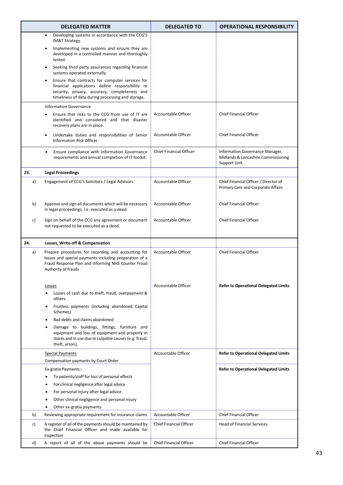| <b>DELEGATED MATTER</b>                                                        |                                                                                                                                                                                                          | <b>DELEGATED TO</b>            | <b>OPERATIONAL RESPONSIBILITY</b>                                                       |
|--------------------------------------------------------------------------------|----------------------------------------------------------------------------------------------------------------------------------------------------------------------------------------------------------|--------------------------------|-----------------------------------------------------------------------------------------|
| Developing systems in accordance with the CCG'S<br>$\bullet$<br>IM&T Strategy. |                                                                                                                                                                                                          |                                |                                                                                         |
|                                                                                | Implementing new systems and ensure they are<br>developed in a controlled manner and thoroughly<br>tested.                                                                                               |                                |                                                                                         |
|                                                                                | Seeking third party assurances regarding financial<br>systems operated externally.                                                                                                                       |                                |                                                                                         |
|                                                                                | Ensure that contracts for computer services for<br>financial applications define responsibility re<br>security, privacy, accuracy, completeness and<br>timeliness of data during processing and storage. |                                |                                                                                         |
|                                                                                | <b>Information Governance</b>                                                                                                                                                                            |                                |                                                                                         |
|                                                                                | Ensure that risks to the CCG from use of IT are<br>identified and considered and that disaster<br>recovery plans are in place.                                                                           | Accountable Officer            | <b>Chief Financial Officer</b>                                                          |
|                                                                                | Undertake duties and responsibilities of Senior<br><b>Information Risk Officer</b>                                                                                                                       | Accountable Officer            | <b>Chief Financial Officer</b>                                                          |
|                                                                                | Ensure compliance with Information Governance<br>$\bullet$<br>requirements and annual completion of IT toolkit                                                                                           | <b>Chief Financial Officer</b> | Information Governance Manager,<br>Midlands & Lancashire Commissioning<br>Support Unit. |
| 23.                                                                            | <b>Legal Proceedings</b>                                                                                                                                                                                 |                                |                                                                                         |
| a)                                                                             | Engagement of CCG's Solicitors / Legal Advisors                                                                                                                                                          | <b>Accountable Officer</b>     | Chief Financial Officer / Director of<br>Primary Care and Corporate Affairs             |
| b)                                                                             | Approve and sign all documents which will be necessary<br>in legal proceedings, i.e. executed as a deed.                                                                                                 | Accountable Officer            | <b>Chief Financial Officer</b>                                                          |
| c)                                                                             | Sign on behalf of the CCG any agreement or document<br>not requested to be executed as a deed.                                                                                                           | Accountable Officer            | <b>Chief Financial Officer</b>                                                          |
| 24.                                                                            | Losses, Write-off & Compensation                                                                                                                                                                         |                                |                                                                                         |
| a)                                                                             | Prepare procedures for recording and accounting for<br>losses and special payments including preparation of a<br>Fraud Response Plan and informing NHS Counter Fraud<br>Authority of frauds              | Accountable Officer            | <b>Chief Financial Officer</b>                                                          |
|                                                                                | Losses                                                                                                                                                                                                   | Accountable Officer            | <b>Refer to Operational Delegated Limits</b>                                            |
|                                                                                | Losses of cash due to theft, fraud, overpayment &<br>others.                                                                                                                                             |                                |                                                                                         |
|                                                                                | Fruitless payments (including abandoned Capital<br>Schemes)                                                                                                                                              |                                |                                                                                         |
|                                                                                | Bad debts and claims abandoned                                                                                                                                                                           |                                |                                                                                         |
|                                                                                | Damage to buildings, fittings, furniture and<br>equipment and loss of equipment and property in<br>stores and in use due to culpable causes (e.g. fraud,<br>theft, arson).                               |                                |                                                                                         |
|                                                                                | <b>Special Payments</b>                                                                                                                                                                                  | Accountable Officer            | <b>Refer to Operational Delegated Limits</b>                                            |
|                                                                                | Compensation payments by Court Order                                                                                                                                                                     |                                |                                                                                         |
|                                                                                | Ex-gratia Payments:-                                                                                                                                                                                     |                                | <b>Refer to Operational Delegated Limits</b>                                            |
|                                                                                | To patients/staff for loss of personal effects<br>For clinical negligence after legal advice                                                                                                             |                                |                                                                                         |
|                                                                                | For personal injury after legal advice                                                                                                                                                                   |                                |                                                                                         |
|                                                                                | Other clinical negligence and personal injury<br>$\bullet$                                                                                                                                               |                                |                                                                                         |
|                                                                                | Other ex-gratia payments                                                                                                                                                                                 |                                |                                                                                         |
| b)                                                                             | Reviewing appropriate requirement for insurance claims                                                                                                                                                   | Accountable Officer            | <b>Chief Financial Officer</b>                                                          |
| C)                                                                             | A register of all of the payments should be maintained by<br>the Chief Financial Officer and made available for<br>inspection                                                                            | <b>Chief Financial Officer</b> | <b>Head of Financial Services</b>                                                       |
| d)                                                                             | A report of all of the above payments should be                                                                                                                                                          | <b>Chief Financial Officer</b> | <b>Chief Financial Officer</b>                                                          |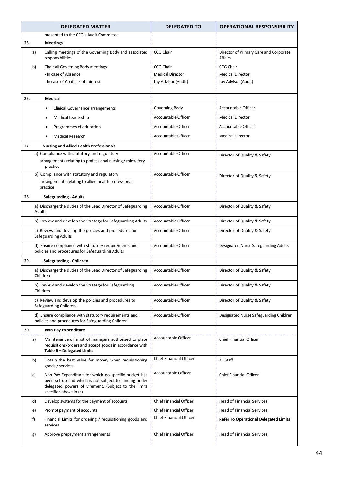| <b>DELEGATED MATTER</b> |                                        |                                                                                                                                                                                                 | <b>DELEGATED TO</b>            | <b>OPERATIONAL RESPONSIBILITY</b>                        |
|-------------------------|----------------------------------------|-------------------------------------------------------------------------------------------------------------------------------------------------------------------------------------------------|--------------------------------|----------------------------------------------------------|
|                         | presented to the CCG's Audit Committee |                                                                                                                                                                                                 |                                |                                                          |
| 25.                     | <b>Meetings</b>                        |                                                                                                                                                                                                 |                                |                                                          |
|                         | a)<br>responsibilities                 | Calling meetings of the Governing Body and associated                                                                                                                                           | <b>CCG Chair</b>               | Director of Primary Care and Corporate<br><b>Affairs</b> |
|                         | b)                                     | Chair all Governing Body meetings                                                                                                                                                               | <b>CCG Chair</b>               | <b>CCG Chair</b>                                         |
|                         |                                        | - In case of Absence                                                                                                                                                                            | <b>Medical Director</b>        | <b>Medical Director</b>                                  |
|                         |                                        | - In case of Conflicts of Interest                                                                                                                                                              | Lay Advisor (Audit)            | Lay Advisor (Audit)                                      |
| 26.                     | <b>Medical</b>                         |                                                                                                                                                                                                 |                                |                                                          |
|                         |                                        | Clinical Governance arrangements                                                                                                                                                                | Governing Body                 | Accountable Officer                                      |
|                         |                                        | Medical Leadership                                                                                                                                                                              | Accountable Officer            | <b>Medical Director</b>                                  |
|                         |                                        | Programmes of education                                                                                                                                                                         | Accountable Officer            | Accountable Officer                                      |
|                         |                                        | <b>Medical Research</b>                                                                                                                                                                         | Accountable Officer            | <b>Medical Director</b>                                  |
| 27.                     |                                        | <b>Nursing and Allied Health Professionals</b>                                                                                                                                                  |                                |                                                          |
|                         |                                        | a) Compliance with statutory and regulatory                                                                                                                                                     | Accountable Officer            | Director of Quality & Safety                             |
|                         | practice                               | arrangements relating to professional nursing / midwifery                                                                                                                                       |                                |                                                          |
|                         |                                        | b) Compliance with statutory and regulatory                                                                                                                                                     | Accountable Officer            | Director of Quality & Safety                             |
|                         | practice                               | arrangements relating to allied health professionals                                                                                                                                            |                                |                                                          |
| 28.                     |                                        | <b>Safeguarding - Adults</b>                                                                                                                                                                    |                                |                                                          |
|                         | <b>Adults</b>                          | a) Discharge the duties of the Lead Director of Safeguarding                                                                                                                                    | Accountable Officer            | Director of Quality & Safety                             |
|                         |                                        | b) Review and develop the Strategy for Safeguarding Adults                                                                                                                                      | Accountable Officer            | Director of Quality & Safety                             |
|                         | <b>Safeguarding Adults</b>             | c) Review and develop the policies and procedures for                                                                                                                                           | Accountable Officer            | Director of Quality & Safety                             |
|                         |                                        | d) Ensure compliance with statutory requirements and<br>policies and procedures for Safeguarding Adults                                                                                         | Accountable Officer            | Designated Nurse Safeguarding Adults                     |
| 29.                     |                                        | Safeguarding - Children                                                                                                                                                                         |                                |                                                          |
|                         | Children                               | a) Discharge the duties of the Lead Director of Safeguarding                                                                                                                                    | Accountable Officer            | Director of Quality & Safety                             |
|                         | Children                               | b) Review and develop the Strategy for Safeguarding                                                                                                                                             | Accountable Officer            | Director of Quality & Safety                             |
|                         | Safeguarding Children                  | c) Review and develop the policies and procedures to                                                                                                                                            | Accountable Officer            | Director of Quality & Safety                             |
|                         |                                        | d) Ensure compliance with statutory requirements and<br>policies and procedures for Safeguarding Children                                                                                       | Accountable Officer            | Designated Nurse Safeguarding Children                   |
| 30.                     |                                        | <b>Non Pay Expenditure</b>                                                                                                                                                                      |                                |                                                          |
|                         | a)                                     | Maintenance of a list of managers authorised to place<br>requisitions/orders and accept goods in accordance with<br>Table B - Delegated Limits                                                  | <b>Accountable Officer</b>     | <b>Chief Financial Officer</b>                           |
|                         | b)                                     | Obtain the best value for money when requisitioning<br>goods / services                                                                                                                         | <b>Chief Financial Officer</b> | All Staff                                                |
|                         | C)                                     | Non-Pay Expenditure for which no specific budget has<br>been set up and which is not subject to funding under<br>delegated powers of virement. (Subject to the limits<br>specified above in (a) | Accountable Officer            | <b>Chief Financial Officer</b>                           |
|                         | d)                                     | Develop systems for the payment of accounts                                                                                                                                                     | <b>Chief Financial Officer</b> | <b>Head of Financial Services</b>                        |
|                         | e)                                     | Prompt payment of accounts                                                                                                                                                                      | <b>Chief Financial Officer</b> | <b>Head of Financial Services</b>                        |
| f)                      | services                               | Financial Limits for ordering / requisitioning goods and                                                                                                                                        | <b>Chief Financial Officer</b> | <b>Refer To Operational Delegated Limits</b>             |
|                         | g)                                     | Approve prepayment arrangements                                                                                                                                                                 | <b>Chief Financial Officer</b> | <b>Head of Financial Services</b>                        |
|                         |                                        |                                                                                                                                                                                                 |                                |                                                          |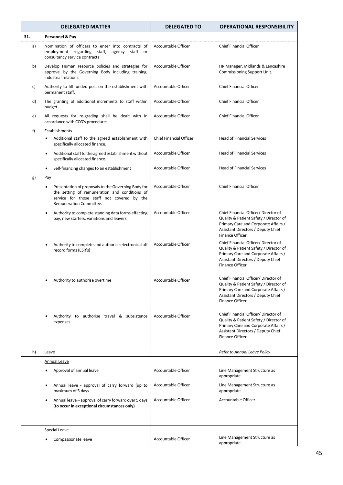|     | <b>DELEGATED MATTER</b>                                                                                                                                                            | <b>DELEGATED TO</b>            | <b>OPERATIONAL RESPONSIBILITY</b>                                                                                                                                                      |
|-----|------------------------------------------------------------------------------------------------------------------------------------------------------------------------------------|--------------------------------|----------------------------------------------------------------------------------------------------------------------------------------------------------------------------------------|
| 31. | Personnel & Pay                                                                                                                                                                    |                                |                                                                                                                                                                                        |
| a)  | Nomination of officers to enter into contracts of<br>employment regarding staff,<br>agency staff or<br>consultancy service contracts                                               | Accountable Officer            | <b>Chief Financial Officer</b>                                                                                                                                                         |
| b)  | Develop Human resource policies and strategies for<br>approval by the Governing Body including training,<br>industrial relations.                                                  | Accountable Officer            | HR Manager, Midlands & Lancashire<br>Commissioning Support Unit.                                                                                                                       |
| c)  | Authority to fill funded post on the establishment with<br>permanent staff.                                                                                                        | Accountable Officer            | <b>Chief Financial Officer</b>                                                                                                                                                         |
| d)  | The granting of additional increments to staff within<br>budget                                                                                                                    | Accountable Officer            | <b>Chief Financial Officer</b>                                                                                                                                                         |
| e)  | All requests for re-grading shall be dealt with in<br>accordance with CCG's procedures.                                                                                            | Accountable Officer            | <b>Chief Financial Officer</b>                                                                                                                                                         |
| f)  | Establishments                                                                                                                                                                     |                                |                                                                                                                                                                                        |
|     | Additional staff to the agreed establishment with<br>٠<br>specifically allocated finance.                                                                                          | <b>Chief Financial Officer</b> | <b>Head of Financial Services</b>                                                                                                                                                      |
|     | Additional staff to the agreed establishment without<br>specifically allocated finance.                                                                                            | Accountable Officer            | <b>Head of Financial Services</b>                                                                                                                                                      |
|     | Self-financing changes to an establishment<br>٠                                                                                                                                    | Accountable Officer            | <b>Head of Financial Services</b>                                                                                                                                                      |
| g)  | Pay                                                                                                                                                                                |                                |                                                                                                                                                                                        |
|     | Presentation of proposals to the Governing Body for<br>٠<br>the setting of remuneration and conditions of<br>service for those staff not covered by the<br>Remuneration Committee. | Accountable Officer            | <b>Chief Financial Officer</b>                                                                                                                                                         |
|     | Authority to complete standing data forms effecting<br>$\bullet$<br>pay, new starters, variations and leavers                                                                      | Accountable Officer            | Chief Financial Officer/ Director of<br>Quality & Patient Safety / Director of<br>Primary Care and Corporate Affairs /<br>Assistant Directors / Deputy Chief<br>Finance Officer        |
|     | Authority to complete and authorise electronic staff<br>record forms (ESR's)                                                                                                       | Accountable Officer            | Chief Financial Officer/ Director of<br>Quality & Patient Safety / Director of<br>Primary Care and Corporate Affairs /<br><b>Assistant Directors / Deputy Chief</b><br>Finance Officer |
|     | Authority to authorise overtime                                                                                                                                                    | Accountable Officer            | Chief Financial Officer/ Director of<br>Quality & Patient Safety / Director of<br>Primary Care and Corporate Affairs /<br>Assistant Directors / Deputy Chief<br>Finance Officer        |
|     | Authority to authorise travel & subsistence<br>expenses                                                                                                                            | Accountable Officer            | Chief Financial Officer/ Director of<br>Quality & Patient Safety / Director of<br>Primary Care and Corporate Affairs /<br>Assistant Directors / Deputy Chief<br><b>Finance Officer</b> |
| h)  | Leave                                                                                                                                                                              |                                | Refer to Annual Leave Policy                                                                                                                                                           |
|     | <b>Annual Leave</b>                                                                                                                                                                |                                |                                                                                                                                                                                        |
|     | Approval of annual leave                                                                                                                                                           | Accountable Officer            | Line Management Structure as<br>appropriate                                                                                                                                            |
|     | Annual leave - approval of carry forward (up to<br>maximum of 5 days                                                                                                               | Accountable Officer            | Line Management Structure as<br>appropriate                                                                                                                                            |
|     | Annual leave - approval of carry forward over 5 days<br>٠<br>(to occur in exceptional circumstances only)                                                                          | Accountable Officer            | Accountable Officer                                                                                                                                                                    |
|     | <b>Special Leave</b>                                                                                                                                                               |                                |                                                                                                                                                                                        |
|     | Compassionate leave                                                                                                                                                                | Accountable Officer            | Line Management Structure as<br>appropriate                                                                                                                                            |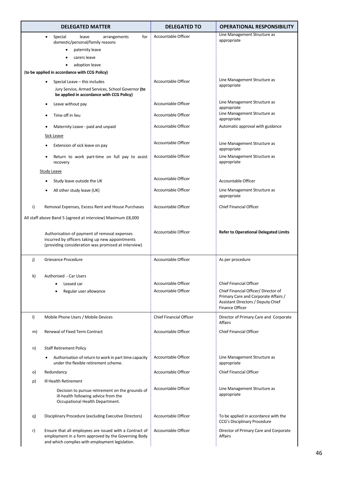|    | <b>DELEGATED MATTER</b>                                                                                                                                           | <b>DELEGATED TO</b>            | <b>OPERATIONAL RESPONSIBILITY</b>                                                                                                     |
|----|-------------------------------------------------------------------------------------------------------------------------------------------------------------------|--------------------------------|---------------------------------------------------------------------------------------------------------------------------------------|
|    | for<br>Special<br>leave<br>$\bullet$<br>arrangements<br>domestic/personal/family reasons<br>paternity leave<br>carers leave<br>adoption leave                     | Accountable Officer            | Line Management Structure as<br>appropriate                                                                                           |
|    | (to be applied in accordance with CCG Policy)                                                                                                                     |                                |                                                                                                                                       |
|    | Special Leave - this includes<br>Jury Service, Armed Services, School Governor (to<br>be applied in accordance with CCG Policy)                                   | Accountable Officer            | Line Management Structure as<br>appropriate                                                                                           |
|    | Leave without pay                                                                                                                                                 | Accountable Officer            | Line Management Structure as<br>appropriate                                                                                           |
|    | Time off in lieu                                                                                                                                                  | Accountable Officer            | Line Management Structure as<br>appropriate                                                                                           |
|    | Maternity Leave - paid and unpaid                                                                                                                                 | Accountable Officer            | Automatic approval with guidance                                                                                                      |
|    | Sick Leave                                                                                                                                                        |                                |                                                                                                                                       |
|    | Extension of sick leave on pay                                                                                                                                    | Accountable Officer            | Line Management Structure as<br>appropriate                                                                                           |
|    | Return to work part-time on full pay to assist<br>recovery                                                                                                        | Accountable Officer            | Line Management Structure as<br>appropriate                                                                                           |
|    | <b>Study Leave</b>                                                                                                                                                |                                |                                                                                                                                       |
|    | Study leave outside the UK                                                                                                                                        | Accountable Officer            | <b>Accountable Officer</b>                                                                                                            |
|    | All other study leave (UK)                                                                                                                                        | Accountable Officer            | Line Management Structure as<br>appropriate                                                                                           |
| i) | Removal Expenses, Excess Rent and House Purchases                                                                                                                 | Accountable Officer            | <b>Chief Financial Officer</b>                                                                                                        |
|    | All staff above Band 5 (agreed at interview) Maximum £8,000                                                                                                       |                                |                                                                                                                                       |
|    | Authorisation of payment of removal expenses<br>incurred by officers taking up new appointments<br>(providing consideration was promised at interview)            | Accountable Officer            | <b>Refer to Operational Delegated Limits</b>                                                                                          |
| j) | Grievance Procedure                                                                                                                                               | Accountable Officer            | As per procedure                                                                                                                      |
| k) | Authorised - Car Users                                                                                                                                            |                                |                                                                                                                                       |
|    | Leased car                                                                                                                                                        | Accountable Officer            | <b>Chief Financial Officer</b>                                                                                                        |
|    | Regular user allowance                                                                                                                                            | Accountable Officer            | Chief Financial Officer/ Director of<br>Primary Care and Corporate Affairs /<br>Assistant Directors / Deputy Chief<br>Finance Officer |
| I) | Mobile Phone Users / Mobile Devices                                                                                                                               | <b>Chief Financial Officer</b> | Director of Primary Care and Corporate<br>Affairs                                                                                     |
| m) | Renewal of Fixed Term Contract                                                                                                                                    | Accountable Officer            | <b>Chief Financial Officer</b>                                                                                                        |
| n) | <b>Staff Retirement Policy</b>                                                                                                                                    |                                |                                                                                                                                       |
|    | Authorisation of return to work in part time capacity<br>under the flexible retirement scheme.                                                                    | Accountable Officer            | Line Management Structure as<br>appropriate                                                                                           |
| o) | Redundancy                                                                                                                                                        | Accountable Officer            | <b>Chief Financial Officer</b>                                                                                                        |
| p) | Ill Health Retirement                                                                                                                                             |                                |                                                                                                                                       |
|    | Decision to pursue retirement on the grounds of<br>ill-health following advice from the<br>Occupational Health Department.                                        | Accountable Officer            | Line Management Structure as<br>appropriate                                                                                           |
| q) | Disciplinary Procedure (excluding Executive Directors)                                                                                                            | Accountable Officer            | To be applied in accordance with the<br>CCG's Disciplinary Procedure                                                                  |
| r) | Ensure that all employees are issued with a Contract of<br>employment in a form approved by the Governing Body<br>and which complies with employment legislation. | Accountable Officer            | Director of Primary Care and Corporate<br>Affairs                                                                                     |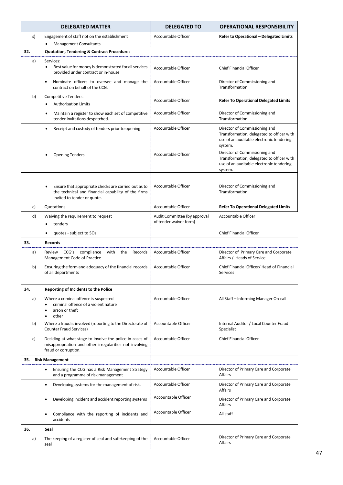|     |    | <b>DELEGATED MATTER</b>                                                                                                                         | <b>DELEGATED TO</b>                                    | <b>OPERATIONAL RESPONSIBILITY</b>                                                                                                 |
|-----|----|-------------------------------------------------------------------------------------------------------------------------------------------------|--------------------------------------------------------|-----------------------------------------------------------------------------------------------------------------------------------|
|     | s) | Engagement of staff not on the establishment<br><b>Management Consultants</b><br>٠                                                              | Accountable Officer                                    | Refer to Operational - Delegated Limits                                                                                           |
| 32. |    | <b>Quotation, Tendering &amp; Contract Procedures</b>                                                                                           |                                                        |                                                                                                                                   |
|     | a) | Services:<br>Best value for money is demonstrated for all services<br>provided under contract or in-house                                       | Accountable Officer                                    | <b>Chief Financial Officer</b>                                                                                                    |
|     |    | Nominate officers to oversee and manage the<br>contract on behalf of the CCG.                                                                   | <b>Accountable Officer</b>                             | Director of Commissioning and<br>Transformation                                                                                   |
|     | b) | Competitive Tenders:<br><b>Authorisation Limits</b>                                                                                             | Accountable Officer                                    | <b>Refer To Operational Delegated Limits</b>                                                                                      |
|     |    | Maintain a register to show each set of competitive<br>٠<br>tender invitations despatched.                                                      | Accountable Officer                                    | Director of Commissioning and<br>Transformation                                                                                   |
|     |    | Receipt and custody of tenders prior to opening<br>$\bullet$                                                                                    | Accountable Officer                                    | Director of Commissioning and<br>Transformation, delegated to officer with<br>use of an auditable electronic tendering<br>system. |
|     |    | <b>Opening Tenders</b>                                                                                                                          | Accountable Officer                                    | Director of Commissioning and<br>Transformation, delegated to officer with<br>use of an auditable electronic tendering<br>system. |
|     |    | Ensure that appropriate checks are carried out as to<br>٠<br>the technical and financial capability of the firms<br>invited to tender or quote. | <b>Accountable Officer</b>                             | Director of Commissioning and<br>Transformation                                                                                   |
|     | c) | Quotations                                                                                                                                      | Accountable Officer                                    | <b>Refer To Operational Delegated Limits</b>                                                                                      |
|     | d) | Waiving the requirement to request<br>tenders                                                                                                   | Audit Committee (by approval<br>of tender waiver form) | Accountable Officer                                                                                                               |
|     |    | quotes - subject to SOs                                                                                                                         |                                                        | <b>Chief Financial Officer</b>                                                                                                    |
| 33. |    | <b>Records</b>                                                                                                                                  |                                                        |                                                                                                                                   |
|     | a) | Review CCG's compliance<br>with<br>the<br>Records<br>Management Code of Practice                                                                | Accountable Officer                                    | Director of Primary Care and Corporate<br>Affairs / Heads of Service                                                              |
|     | b) | Ensuring the form and adequacy of the financial records<br>of all departments                                                                   | Accountable Officer                                    | Chief Financial Officer/ Head of Financial<br>Services                                                                            |
| 34. |    | <b>Reporting of Incidents to the Police</b>                                                                                                     |                                                        |                                                                                                                                   |
|     | a) | Where a criminal offence is suspected<br>criminal offence of a violent nature<br>arson or theft<br>other                                        | Accountable Officer                                    | All Staff - Informing Manager On-call                                                                                             |
|     | b) | Where a fraud is involved (reporting to the Directorate of<br><b>Counter Fraud Services)</b>                                                    | Accountable Officer                                    | Internal Auditor / Local Counter Fraud<br>Specialist                                                                              |
|     | c) | Deciding at what stage to involve the police in cases of<br>misappropriation and other irregularities not involving<br>fraud or corruption.     | <b>Accountable Officer</b>                             | <b>Chief Financial Officer</b>                                                                                                    |
| 35. |    | <b>Risk Management</b>                                                                                                                          |                                                        |                                                                                                                                   |
|     |    | Ensuring the CCG has a Risk Management Strategy<br>$\bullet$<br>and a programme of risk management                                              | Accountable Officer                                    | Director of Primary Care and Corporate<br>Affairs                                                                                 |
|     |    | Developing systems for the management of risk.<br>٠                                                                                             | Accountable Officer                                    | Director of Primary Care and Corporate<br>Affairs                                                                                 |
|     |    | Developing incident and accident reporting systems                                                                                              | Accountable Officer                                    | Director of Primary Care and Corporate<br>Affairs                                                                                 |
|     |    | Compliance with the reporting of incidents and<br>accidents                                                                                     | Accountable Officer                                    | All staff                                                                                                                         |
| 36. |    | Seal                                                                                                                                            |                                                        |                                                                                                                                   |
|     | a) | The keeping of a register of seal and safekeeping of the<br>seal                                                                                | Accountable Officer                                    | Director of Primary Care and Corporate<br>Affairs                                                                                 |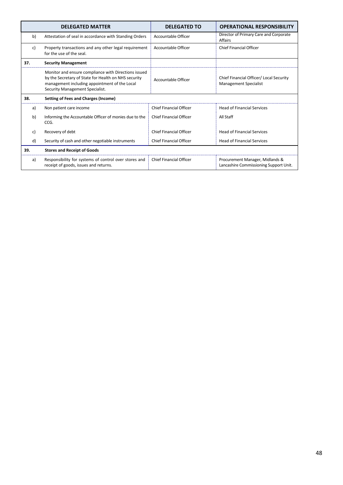|                                                         | <b>DELEGATED MATTER</b>                                                                                                                                                                          | <b>DELEGATED TO</b>                                                 | <b>OPERATIONAL RESPONSIBILITY</b>                                         |  |  |  |
|---------------------------------------------------------|--------------------------------------------------------------------------------------------------------------------------------------------------------------------------------------------------|---------------------------------------------------------------------|---------------------------------------------------------------------------|--|--|--|
| b)                                                      | Attestation of seal in accordance with Standing Orders                                                                                                                                           | Accountable Officer                                                 | Director of Primary Care and Corporate<br>Affairs                         |  |  |  |
| c)                                                      | Property transactions and any other legal requirement<br>for the use of the seal.                                                                                                                | Accountable Officer                                                 | <b>Chief Financial Officer</b>                                            |  |  |  |
| 37.                                                     | <b>Security Management</b>                                                                                                                                                                       |                                                                     |                                                                           |  |  |  |
|                                                         | Monitor and ensure compliance with Directions issued<br>by the Secretary of State for Health on NHS security<br>management including appointment of the Local<br>Security Management Specialist. | Accountable Officer                                                 | Chief Financial Officer/ Local Security<br><b>Management Specialist</b>   |  |  |  |
| 38.                                                     | Setting of Fees and Charges (Income)                                                                                                                                                             |                                                                     |                                                                           |  |  |  |
| a)                                                      | Non patient care income                                                                                                                                                                          | <b>Chief Financial Officer</b>                                      | <b>Head of Financial Services</b>                                         |  |  |  |
| b)                                                      | Informing the Accountable Officer of monies due to the<br>CCG.                                                                                                                                   | <b>Chief Financial Officer</b>                                      | All Staff                                                                 |  |  |  |
| c)                                                      | Recovery of debt                                                                                                                                                                                 | <b>Chief Financial Officer</b>                                      | <b>Head of Financial Services</b>                                         |  |  |  |
| Security of cash and other negotiable instruments<br>d) |                                                                                                                                                                                                  | <b>Chief Financial Officer</b><br><b>Head of Financial Services</b> |                                                                           |  |  |  |
| 39.                                                     | <b>Stores and Receipt of Goods</b>                                                                                                                                                               |                                                                     |                                                                           |  |  |  |
| a)                                                      | Responsibility for systems of control over stores and<br>receipt of goods, issues and returns.                                                                                                   | <b>Chief Financial Officer</b>                                      | Procurement Manager, Midlands &<br>Lancashire Commissioning Support Unit. |  |  |  |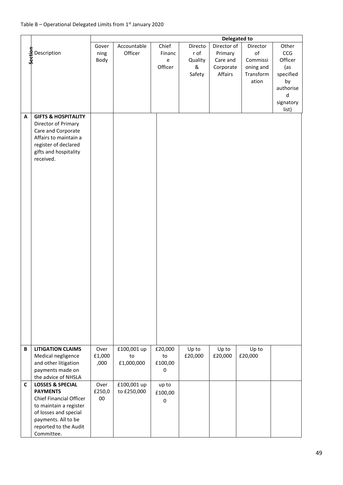|              |                                                                                                                                                                                            | Delegated to           |                                 |                                                                          |                                           |                                                            |                                                               |                                                                                           |
|--------------|--------------------------------------------------------------------------------------------------------------------------------------------------------------------------------------------|------------------------|---------------------------------|--------------------------------------------------------------------------|-------------------------------------------|------------------------------------------------------------|---------------------------------------------------------------|-------------------------------------------------------------------------------------------|
|              | <b>.5</b> Description<br>ဖို                                                                                                                                                               | Gover<br>ning<br>Body  | Accountable<br>Officer          | Chief<br>Financ<br>$\mathsf{e}% _{0}\left( \mathsf{e}\right)$<br>Officer | Directo<br>r of<br>Quality<br>&<br>Safety | Director of<br>Primary<br>Care and<br>Corporate<br>Affairs | Director<br>of<br>Commissi<br>oning and<br>Transform<br>ation | Other<br>CCG<br>Officer<br>(as<br>specified<br>by<br>authorise<br>d<br>signatory<br>list) |
| A            | <b>GIFTS &amp; HOSPITALITY</b><br>Director of Primary<br>Care and Corporate<br>Affairs to maintain a<br>register of declared<br>gifts and hospitality<br>received.                         |                        |                                 |                                                                          |                                           |                                                            |                                                               |                                                                                           |
| B            | <b>LITIGATION CLAIMS</b><br>Medical negligence<br>and other litigation<br>payments made on<br>the advice of NHSLA                                                                          | Over<br>£1,000<br>,000 | £100,001 up<br>to<br>£1,000,000 | £20,000<br>to<br>£100,00<br>0                                            | Up to<br>£20,000                          | Up to<br>£20,000                                           | Up to<br>£20,000                                              |                                                                                           |
| $\mathsf{C}$ | <b>LOSSES &amp; SPECIAL</b><br><b>PAYMENTS</b><br>Chief Financial Officer<br>to maintain a register<br>of losses and special<br>payments. All to be<br>reported to the Audit<br>Committee. | Over<br>£250,0<br>00   | £100,001 up<br>to £250,000      | up to<br>£100,00<br>0                                                    |                                           |                                                            |                                                               |                                                                                           |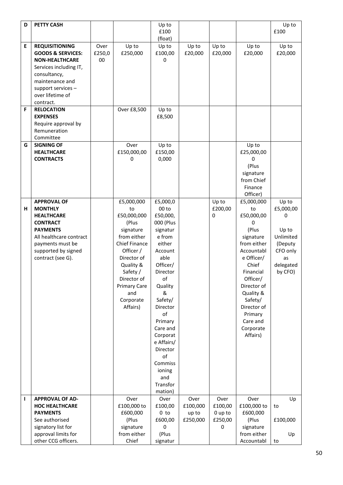| D  | <b>PETTY CASH</b>                    |        |                         | Up to<br>£100         |          |              |                         | Up to<br>£100 |
|----|--------------------------------------|--------|-------------------------|-----------------------|----------|--------------|-------------------------|---------------|
|    |                                      |        |                         | (float)               |          |              |                         |               |
| E  | <b>REQUISITIONING</b>                | Over   | Up to                   | Up to                 | Up to    | Up to        | Up to                   | Up to         |
|    | <b>GOODS &amp; SERVICES:</b>         | £250,0 | £250,000                | £100,00               | £20,000  | £20,000      | £20,000                 | £20,000       |
|    | <b>NON-HEALTHCARE</b>                | $00\,$ |                         | 0                     |          |              |                         |               |
|    | Services including IT,               |        |                         |                       |          |              |                         |               |
|    | consultancy,<br>maintenance and      |        |                         |                       |          |              |                         |               |
|    | support services -                   |        |                         |                       |          |              |                         |               |
|    | over lifetime of                     |        |                         |                       |          |              |                         |               |
|    | contract.                            |        |                         |                       |          |              |                         |               |
| F  | <b>RELOCATION</b>                    |        | Over £8,500             | Up to                 |          |              |                         |               |
|    | <b>EXPENSES</b>                      |        |                         | £8,500                |          |              |                         |               |
|    | Require approval by<br>Remuneration  |        |                         |                       |          |              |                         |               |
|    | Committee                            |        |                         |                       |          |              |                         |               |
| G  | <b>SIGNING OF</b>                    |        | Over                    | Up to                 |          |              | Up to                   |               |
|    | <b>HEALTHCARE</b>                    |        | £150,000,00             | £150,00               |          |              | £25,000,00              |               |
|    | <b>CONTRACTS</b>                     |        | 0                       | 0,000                 |          |              | 0                       |               |
|    |                                      |        |                         |                       |          |              | (Plus                   |               |
|    |                                      |        |                         |                       |          |              | signature<br>from Chief |               |
|    |                                      |        |                         |                       |          |              | Finance                 |               |
|    |                                      |        |                         |                       |          |              | Officer)                |               |
|    | <b>APPROVAL OF</b>                   |        | £5,000,000              | £5,000,0              |          | Up to        | £5,000,000              | Up to         |
| H  | <b>MONTHLY</b>                       |        | to                      | 00 to                 |          | £200,00      | to                      | £5,000,00     |
|    | <b>HEALTHCARE</b>                    |        | £50,000,000             | £50,000,              |          | 0            | £50,000,00              | 0             |
|    | <b>CONTRACT</b><br><b>PAYMENTS</b>   |        | (Plus<br>signature      | 000 (Plus<br>signatur |          |              | 0<br>(Plus              | Up to         |
|    | All healthcare contract              |        | from either             | e from                |          |              | signature               | Unlimited     |
|    | payments must be                     |        | Chief Finance           | either                |          |              | from either             | (Deputy       |
|    | supported by signed                  |        | Officer /               | Account               |          |              | Accountabl              | CFO only      |
|    | contract (see G).                    |        | Director of             | able                  |          |              | e Officer/              | as            |
|    |                                      |        | Quality &               | Officer/              |          |              | Chief                   | delegated     |
|    |                                      |        | Safety /<br>Director of | Director<br>of        |          |              | Financial<br>Officer/   | by CFO)       |
|    |                                      |        | <b>Primary Care</b>     | Quality               |          |              | Director of             |               |
|    |                                      |        | and                     | &                     |          |              | Quality &               |               |
|    |                                      |        | Corporate               | Safety/               |          |              | Safety/                 |               |
|    |                                      |        | Affairs)                | Director              |          |              | Director of             |               |
|    |                                      |        |                         | of                    |          |              | Primary                 |               |
|    |                                      |        |                         | Primary<br>Care and   |          |              | Care and<br>Corporate   |               |
|    |                                      |        |                         | Corporat              |          |              | Affairs)                |               |
|    |                                      |        |                         | e Affairs/            |          |              |                         |               |
|    |                                      |        |                         | Director              |          |              |                         |               |
|    |                                      |        |                         | of                    |          |              |                         |               |
|    |                                      |        |                         | Commiss               |          |              |                         |               |
|    |                                      |        |                         | ioning<br>and         |          |              |                         |               |
|    |                                      |        |                         | Transfor              |          |              |                         |               |
|    |                                      |        |                         | mation)               |          |              |                         |               |
| I. | <b>APPROVAL OF AD-</b>               |        | Over                    | Over                  | Over     | Over         | Over                    | Up            |
|    | <b>HOC HEALTHCARE</b>                |        | £100,000 to             | £100,00               | £100,000 | £100,00      | £100,000 to             | to            |
|    | <b>PAYMENTS</b>                      |        | £600,000<br>(Plus       | $0$ to                | up to    | 0 up to      | £600,000                |               |
|    | See authorised<br>signatory list for |        | signature               | £600,00<br>0          | £250,000 | £250,00<br>0 | (Plus<br>signature      | £100,000      |
|    | approval limits for                  |        | from either             | (Plus                 |          |              | from either             | Up            |
|    | other CCG officers.                  |        | Chief                   | signatur              |          |              | Accountabl              | to            |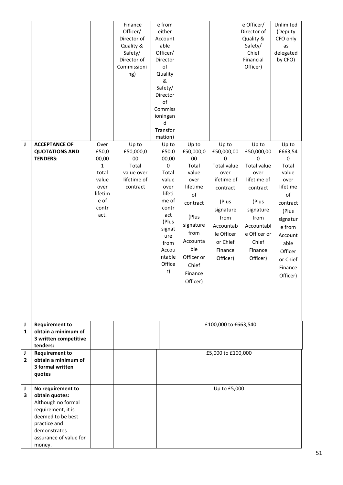|        |                                                                                                                                                                          |                                                                                                      | Finance<br>Officer/<br>Director of<br>Quality &<br>Safety/<br>Director of<br>Commissioni<br>ng) | e from<br>either<br>Account<br>able<br>Officer/<br>Director<br>of<br>Quality<br>&<br>Safety/<br>Director<br>of<br>Commiss<br>ioningan<br>d<br>Transfor<br>mation) |                                                                                                                                                                                 |                                                                                                                                                                               | e Officer/<br>Director of<br>Quality &<br>Safety/<br>Chief<br>Financial<br>Officer)                                                                                           | Unlimited<br>(Deputy<br>CFO only<br>as<br>delegated<br>by CFO)                                                                                                                          |
|--------|--------------------------------------------------------------------------------------------------------------------------------------------------------------------------|------------------------------------------------------------------------------------------------------|-------------------------------------------------------------------------------------------------|-------------------------------------------------------------------------------------------------------------------------------------------------------------------|---------------------------------------------------------------------------------------------------------------------------------------------------------------------------------|-------------------------------------------------------------------------------------------------------------------------------------------------------------------------------|-------------------------------------------------------------------------------------------------------------------------------------------------------------------------------|-----------------------------------------------------------------------------------------------------------------------------------------------------------------------------------------|
| J      | <b>ACCEPTANCE OF</b><br><b>QUOTATIONS AND</b><br><b>TENDERS:</b>                                                                                                         | Over<br>£50,0<br>00,00<br>$\mathbf{1}$<br>total<br>value<br>over<br>lifetim<br>e of<br>contr<br>act. | Up to<br>£50,000,0<br>00<br>Total<br>value over<br>lifetime of<br>contract                      | Up to<br>£50,0<br>00,00<br>0<br>Total<br>value<br>over<br>lifeti<br>me of<br>contr<br>act<br>(Plus<br>signat<br>ure<br>from<br>Accou<br>ntable<br>Office<br>r)    | Up to<br>£50,000,0<br>00<br>Total<br>value<br>over<br>lifetime<br>of<br>contract<br>(Plus<br>signature<br>from<br>Accounta<br>ble<br>Officer or<br>Chief<br>Finance<br>Officer) | Up to<br>£50,000,00<br>0<br><b>Total value</b><br>over<br>lifetime of<br>contract<br>(Plus<br>signature<br>from<br>Accountab<br>le Officer<br>or Chief<br>Finance<br>Officer) | Up to<br>£50,000,00<br>0<br><b>Total value</b><br>over<br>lifetime of<br>contract<br>(Plus<br>signature<br>from<br>Accountabl<br>e Officer or<br>Chief<br>Finance<br>Officer) | Up to<br>£663,54<br>$\mathsf 0$<br>Total<br>value<br>over<br>lifetime<br>of<br>contract<br>(Plus<br>signatur<br>e from<br>Account<br>able<br>Officer<br>or Chief<br>Finance<br>Officer) |
| J<br>1 | <b>Requirement to</b><br>obtain a minimum of<br>3 written competitive<br>tenders:                                                                                        |                                                                                                      |                                                                                                 |                                                                                                                                                                   |                                                                                                                                                                                 | £100,000 to £663,540                                                                                                                                                          |                                                                                                                                                                               |                                                                                                                                                                                         |
| J<br>2 | <b>Requirement to</b><br>obtain a minimum of<br>3 formal written<br>quotes                                                                                               |                                                                                                      |                                                                                                 |                                                                                                                                                                   |                                                                                                                                                                                 | £5,000 to £100,000                                                                                                                                                            |                                                                                                                                                                               |                                                                                                                                                                                         |
| J<br>3 | No requirement to<br>obtain quotes:<br>Although no formal<br>requirement, it is<br>deemed to be best<br>practice and<br>demonstrates<br>assurance of value for<br>money. |                                                                                                      |                                                                                                 |                                                                                                                                                                   |                                                                                                                                                                                 | Up to £5,000                                                                                                                                                                  |                                                                                                                                                                               |                                                                                                                                                                                         |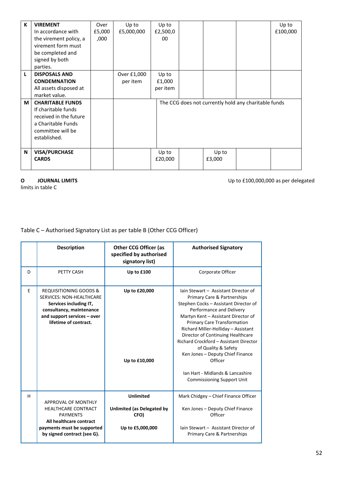| K   | <b>VIREMENT</b><br>In accordance with<br>the virement policy, a<br>virement form must                                               | Over<br>£5,000<br>,000 | Up to<br>£5,000,000     | Up to<br>£2,500,0<br>00     |                 |                                                      | Up to<br>£100,000 |
|-----|-------------------------------------------------------------------------------------------------------------------------------------|------------------------|-------------------------|-----------------------------|-----------------|------------------------------------------------------|-------------------|
|     | be completed and<br>signed by both<br>parties.                                                                                      |                        |                         |                             |                 |                                                      |                   |
| L   | <b>DISPOSALS AND</b><br><b>CONDEMNATION</b><br>All assets disposed at<br>market value.                                              |                        | Over £1,000<br>per item | Up to<br>£1,000<br>per item |                 |                                                      |                   |
| M I | <b>CHARITABLE FUNDS</b><br>If charitable funds<br>received in the future<br>a Charitable Funds<br>committee will be<br>established. |                        |                         |                             |                 | The CCG does not currently hold any charitable funds |                   |
| N   | <b>VISA/PURCHASE</b><br><b>CARDS</b>                                                                                                |                        |                         | Up to<br>£20,000            | Up to<br>£3,000 |                                                      |                   |

limits in table C

**O** JOURNAL LIMITS **DESCRIPTION** Up to £100,000,000 as per delegated

Table C – Authorised Signatory List as per table B (Other CCG Officer)

|    | <b>Description</b>                                                                                                                                                                 | <b>Other CCG Officer (as</b><br>specified by authorised<br>signatory list) | <b>Authorised Signatory</b>                                                                                                                                                                                                                                                                                                                                                                                                                                                                |
|----|------------------------------------------------------------------------------------------------------------------------------------------------------------------------------------|----------------------------------------------------------------------------|--------------------------------------------------------------------------------------------------------------------------------------------------------------------------------------------------------------------------------------------------------------------------------------------------------------------------------------------------------------------------------------------------------------------------------------------------------------------------------------------|
| D  | PETTY CASH                                                                                                                                                                         | Up to £100                                                                 | Corporate Officer                                                                                                                                                                                                                                                                                                                                                                                                                                                                          |
| F. | <b>REQUISITIONING GOODS &amp;</b><br><b>SERVICES: NON-HEALTHCARE</b><br>Services including IT,<br>consultancy, maintenance<br>and support services - over<br>lifetime of contract. | Up to £20,000<br>Up to £10,000                                             | lain Stewart - Assistant Director of<br>Primary Care & Partnerships<br>Stephen Cocks - Assistant Director of<br>Performance and Delivery<br>Martyn Kent - Assistant Director of<br><b>Primary Care Transformation</b><br>Richard Miller-Holliday - Assistant<br>Director of Continuing Healthcare<br>Richard Crockford - Assistant Director<br>of Quality & Safety<br>Ken Jones - Deputy Chief Finance<br>Officer<br>Ian Hart - Midlands & Lancashire<br><b>Commissioning Support Unit</b> |
| н  | APPROVAL OF MONTHLY                                                                                                                                                                | <b>Unlimited</b>                                                           | Mark Chidgey – Chief Finance Officer                                                                                                                                                                                                                                                                                                                                                                                                                                                       |
|    | <b>HEALTHCARE CONTRACT</b><br><b>PAYMENTS</b><br>All healthcare contract                                                                                                           | <b>Unlimited (as Delegated by</b><br>CFO)                                  | Ken Jones - Deputy Chief Finance<br>Officer                                                                                                                                                                                                                                                                                                                                                                                                                                                |
|    | payments must be supported<br>by signed contract (see G).                                                                                                                          | Up to £5,000,000                                                           | lain Stewart - Assistant Director of<br><b>Primary Care &amp; Partnerships</b>                                                                                                                                                                                                                                                                                                                                                                                                             |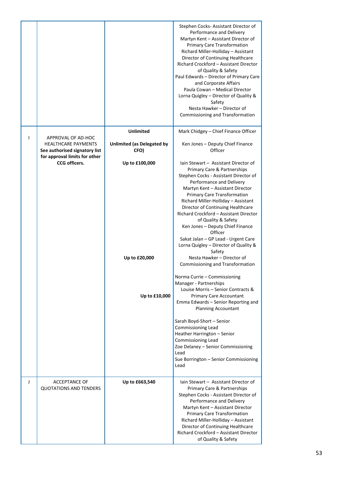|   |                                                             |                                                  | Stephen Cocks- Assistant Director of<br>Performance and Delivery<br>Martyn Kent - Assistant Director of<br><b>Primary Care Transformation</b><br>Richard Miller-Holliday - Assistant<br>Director of Continuing Healthcare<br>Richard Crockford - Assistant Director<br>of Quality & Safety<br>Paul Edwards - Director of Primary Care<br>and Corporate Affairs<br>Paula Cowan - Medical Director<br>Lorna Quigley - Director of Quality &<br>Safety<br>Nesta Hawker - Director of<br>Commissioning and Transformation                                                                                                                                                                                                                               |
|---|-------------------------------------------------------------|--------------------------------------------------|-----------------------------------------------------------------------------------------------------------------------------------------------------------------------------------------------------------------------------------------------------------------------------------------------------------------------------------------------------------------------------------------------------------------------------------------------------------------------------------------------------------------------------------------------------------------------------------------------------------------------------------------------------------------------------------------------------------------------------------------------------|
| I | APPROVAL OF AD-HOC                                          | <b>Unlimited</b>                                 | Mark Chidgey - Chief Finance Officer                                                                                                                                                                                                                                                                                                                                                                                                                                                                                                                                                                                                                                                                                                                |
|   | <b>HEALTHCARE PAYMENTS</b><br>See authorised signatory list | <b>Unlimited (as Delegated by</b><br>CFO)        | Ken Jones - Deputy Chief Finance<br>Officer                                                                                                                                                                                                                                                                                                                                                                                                                                                                                                                                                                                                                                                                                                         |
|   | for approval limits for other<br>CCG officers.              | Up to £100,000<br>Up to £20,000<br>Up to £10,000 | lain Stewart - Assistant Director of<br>Primary Care & Partnerships<br>Stephen Cocks - Assistant Director of<br>Performance and Delivery<br>Martyn Kent - Assistant Director<br><b>Primary Care Transformation</b><br>Richard Miller-Holliday - Assistant<br>Director of Continuing Healthcare<br>Richard Crockford - Assistant Director<br>of Quality & Safety<br>Ken Jones - Deputy Chief Finance<br>Officer<br>Sakat Jalan - GP Lead - Urgent Care<br>Lorna Quigley - Director of Quality &<br>Safety<br>Nesta Hawker - Director of<br>Commissioning and Transformation<br>Norma Currie - Commissioning<br>Manager - Partnerships<br>Louise Morris - Senior Contracts &<br><b>Primary Care Accountant</b><br>Emma Edwards - Senior Reporting and |
|   |                                                             |                                                  | <b>Planning Accountant</b><br>Sarah Boyd-Short - Senior<br>Commissioning Lead<br>Heather Harrington - Senior<br>Commissioning Lead<br>Zoe Delaney - Senior Commissioning<br>Lead<br>Sue Borrington - Senior Commissioning<br>Lead                                                                                                                                                                                                                                                                                                                                                                                                                                                                                                                   |
| J | <b>ACCEPTANCE OF</b><br><b>QUOTATIONS AND TENDERS</b>       | Up to £663,540                                   | lain Stewart - Assistant Director of<br>Primary Care & Partnerships<br>Stephen Cocks - Assistant Director of<br>Performance and Delivery<br>Martyn Kent - Assistant Director<br><b>Primary Care Transformation</b><br>Richard Miller-Holliday - Assistant<br>Director of Continuing Healthcare<br>Richard Crockford - Assistant Director<br>of Quality & Safety                                                                                                                                                                                                                                                                                                                                                                                     |